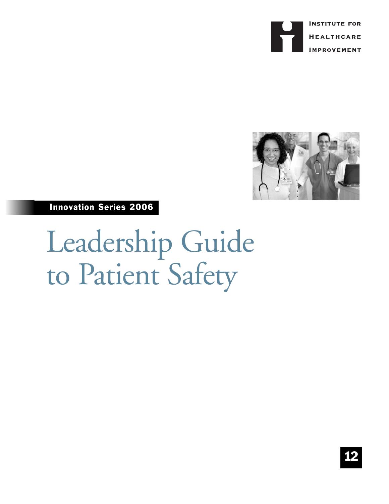



Innovation Series 2006

Leadership Guide to Patient Safety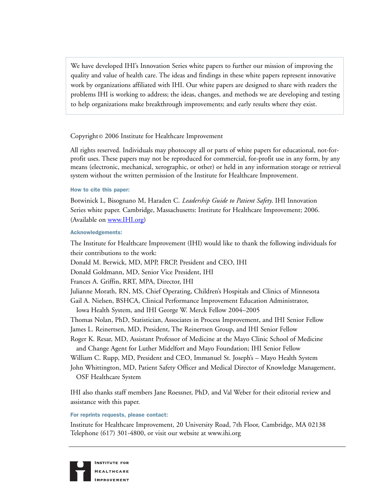We have developed IHI's Innovation Series white papers to further our mission of improving the quality and value of health care. The ideas and findings in these white papers represent innovative work by organizations affiliated with IHI. Our white papers are designed to share with readers the problems IHI is working to address; the ideas, changes, and methods we are developing and testing to help organizations make breakthrough improvements; and early results where they exist.

# Copyright© 2006 Institute for Healthcare Improvement

All rights reserved. Individuals may photocopy all or parts of white papers for educational, not-forprofit uses. These papers may not be reproduced for commercial, for-profit use in any form, by any means (electronic, mechanical, xerographic, or other) or held in any information storage or retrieval system without the written permission of the Institute for Healthcare Improvement.

# How to cite this paper:

Botwinick L, Bisognano M, Haraden C. *Leadership Guide to Patient Safety*. IHI Innovation Series white paper. Cambridge, Massachusetts: Institute for Healthcare Improvement; 2006. (Available o[n www.IHI.org\)](http://www.ihi.org)

## Acknowledgements:

The Institute for Healthcare Improvement (IHI) would like to thank the following individuals for their contributions to the work:

Donald M. Berwick, MD, MPP, FRCP, President and CEO, IHI

Donald Goldmann, MD, Senior Vice President, IHI

Frances A. Griffin, RRT, MPA, Director, IHI

Julianne Morath, RN, MS, Chief Operating, Children's Hospitals and Clinics of Minnesota

Gail A. Nielsen, BSHCA, Clinical Performance Improvement Education Administrator,

Iowa Health System, and IHI George W. Merck Fellow 2004–2005

Thomas Nolan, PhD, Statistician, Associates in Process Improvement, and IHI Senior Fellow

James L. Reinertsen, MD, President, The Reinertsen Group, and IHI Senior Fellow

Roger K. Resar, MD, Assistant Professor of Medicine at the Mayo Clinic School of Medicine

and Change Agent for Luther Midelfort and Mayo Foundation; IHI Senior Fellow

William C. Rupp, MD, President and CEO, Immanuel St. Joseph's – Mayo Health System

John Whittington, MD, Patient Safety Officer and Medical Director of Knowledge Management, OSF Healthcare System

IHI also thanks staff members Jane Roessner, PhD, and Val Weber for their editorial review and assistance with this paper.

For reprints requests, please contact:

Institute for Healthcare Improvement, 20 University Road, 7th Floor, Cambridge, MA 02138 Telephone (617) 301-4800, or visit our website at www.ihi.org

**INSTITUTE FOR HEALTHCARE IMPROVEMENT**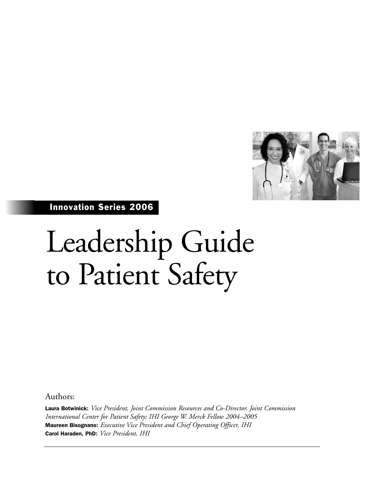

Innovation Series 2006

# Leadership Guide to Patient Safety

Authors:

Laura Botwinick: *Vice President, Joint Commission Resources and Co-Director, Joint Commission International Center for Patient Safety; IHI George W. Merck Fellow 2004–2005* Maureen Bisognano: *Executive Vice President and Chief Operating Officer, IHI* Carol Haraden, PhD: *Vice President, IHI*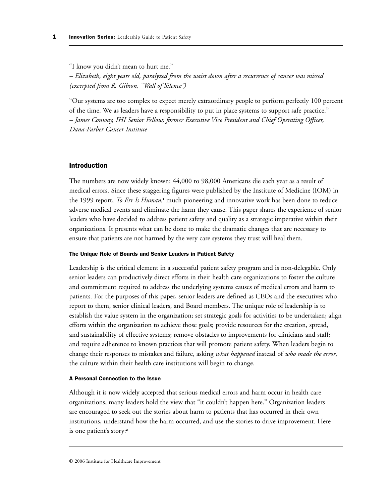"I know you didn't mean to hurt me."

*– Elizabeth, eight years old, paralyzed from the waist down after a recurrence of cancer was missed (excerpted from R. Gibson, "Wall of Silence")*

"Our systems are too complex to expect merely extraordinary people to perform perfectly 100 percent of the time. We as leaders have a responsibility to put in place systems to support safe practice." *– James Conway, IHI Senior Fellow; former Executive Vice President and Chief Operating Officer, Dana-Farber Cancer Institute*

## Introduction

The numbers are now widely known: 44,000 to 98,000 Americans die each year as a result of medical errors. Since these staggering figures were published by the Institute of Medicine (IOM) in the 1999 report, *To Err Is Human,*<sup>1</sup> much pioneering and innovative work has been done to reduce adverse medical events and eliminate the harm they cause. This paper shares the experience of senior leaders who have decided to address patient safety and quality as a strategic imperative within their organizations. It presents what can be done to make the dramatic changes that are necessary to ensure that patients are not harmed by the very care systems they trust will heal them.

#### The Unique Role of Boards and Senior Leaders in Patient Safety

Leadership is the critical element in a successful patient safety program and is non-delegable. Only senior leaders can productively direct efforts in their health care organizations to foster the culture and commitment required to address the underlying systems causes of medical errors and harm to patients. For the purposes of this paper, senior leaders are defined as CEOs and the executives who report to them, senior clinical leaders, and Board members. The unique role of leadership is to establish the value system in the organization; set strategic goals for activities to be undertaken; align efforts within the organization to achieve those goals; provide resources for the creation, spread, and sustainability of effective systems; remove obstacles to improvements for clinicians and staff; and require adherence to known practices that will promote patient safety. When leaders begin to change their responses to mistakes and failure, asking *what happened* instead of *who made the error*, the culture within their health care institutions will begin to change.

#### A Personal Connection to the Issue

Although it is now widely accepted that serious medical errors and harm occur in health care organizations, many leaders hold the view that "it couldn't happen here." Organization leaders are encouraged to seek out the stories about harm to patients that has occurred in their own institutions, understand how the harm occurred, and use the stories to drive improvement. Here is one patient's story:<sup>2</sup>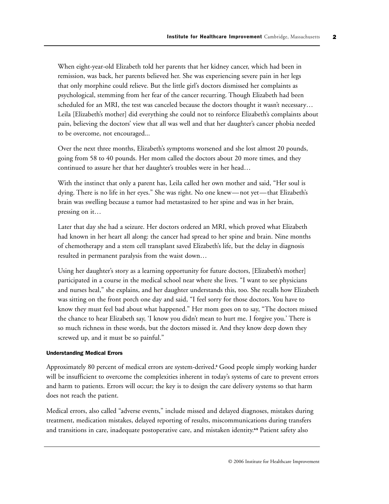When eight-year-old Elizabeth told her parents that her kidney cancer, which had been in remission, was back, her parents believed her. She was experiencing severe pain in her legs that only morphine could relieve. But the little girl's doctors dismissed her complaints as psychological, stemming from her fear of the cancer recurring. Though Elizabeth had been scheduled for an MRI, the test was canceled because the doctors thought it wasn't necessary… Leila [Elizabeth's mother] did everything she could not to reinforce Elizabeth's complaints about pain, believing the doctors' view that all was well and that her daughter's cancer phobia needed to be overcome, not encouraged...

Over the next three months, Elizabeth's symptoms worsened and she lost almost 20 pounds, going from 58 to 40 pounds. Her mom called the doctors about 20 more times, and they continued to assure her that her daughter's troubles were in her head…

With the instinct that only a parent has, Leila called her own mother and said, "Her soul is dying. There is no life in her eyes." She was right. No one knew—not yet—that Elizabeth's brain was swelling because a tumor had metastasized to her spine and was in her brain, pressing on it…

Later that day she had a seizure. Her doctors ordered an MRI, which proved what Elizabeth had known in her heart all along: the cancer had spread to her spine and brain. Nine months of chemotherapy and a stem cell transplant saved Elizabeth's life, but the delay in diagnosis resulted in permanent paralysis from the waist down…

Using her daughter's story as a learning opportunity for future doctors, [Elizabeth's mother] participated in a course in the medical school near where she lives. "I want to see physicians and nurses heal," she explains, and her daughter understands this, too. She recalls how Elizabeth was sitting on the front porch one day and said, "I feel sorry for those doctors. You have to know they must feel bad about what happened." Her mom goes on to say, "The doctors missed the chance to hear Elizabeth say, 'I know you didn't mean to hurt me. I forgive you.' There is so much richness in these words, but the doctors missed it. And they know deep down they screwed up, and it must be so painful."

## Understanding Medical Errors

Approximately 80 percent of medical errors are system-derived.<sup>3</sup> Good people simply working harder will be insufficient to overcome the complexities inherent in today's systems of care to prevent errors and harm to patients. Errors will occur; the key is to design the care delivery systems so that harm does not reach the patient.

Medical errors, also called "adverse events," include missed and delayed diagnoses, mistakes during treatment, medication mistakes, delayed reporting of results, miscommunications during transfers and transitions in care, inadequate postoperative care, and mistaken identity.<sup>45</sup> Patient safety also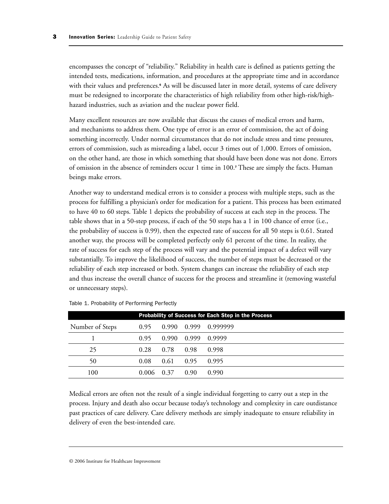encompasses the concept of "reliability." Reliability in health care is defined as patients getting the intended tests, medications, information, and procedures at the appropriate time and in accordance with their values and preferences.<sup>6</sup> As will be discussed later in more detail, systems of care delivery must be redesigned to incorporate the characteristics of high reliability from other high-risk/highhazard industries, such as aviation and the nuclear power field.

Many excellent resources are now available that discuss the causes of medical errors and harm, and mechanisms to address them. One type of error is an error of commission, the act of doing something incorrectly. Under normal circumstances that do not include stress and time pressures, errors of commission, such as misreading a label, occur 3 times out of 1,000. Errors of omission, on the other hand, are those in which something that should have been done was not done. Errors of omission in the absence of reminders occur 1 time in 100.<sup>7</sup> These are simply the facts. Human beings make errors.

Another way to understand medical errors is to consider a process with multiple steps, such as the process for fulfilling a physician's order for medication for a patient. This process has been estimated to have 40 to 60 steps. Table 1 depicts the probability of success at each step in the process. The table shows that in a 50-step process, if each of the 50 steps has a 1 in 100 chance of error (i.e., the probability of success is 0.99), then the expected rate of success for all 50 steps is 0.61. Stated another way, the process will be completed perfectly only 61 percent of the time. In reality, the rate of success for each step of the process will vary and the potential impact of a defect will vary substantially. To improve the likelihood of success, the number of steps must be decreased or the reliability of each step increased or both. System changes can increase the reliability of each step and thus increase the overall chance of success for the process and streamline it (removing wasteful or unnecessary steps).

| <b>Probability of Success for Each Step in the Process</b> |       |       |       |          |
|------------------------------------------------------------|-------|-------|-------|----------|
| Number of Steps                                            | 0.95  | 0.990 | 0.999 | 0.999999 |
|                                                            | 0.95  | 0.990 | 0.999 | 0.9999   |
| 25                                                         | 0.28  | 0.78  | 0.98  | 0.998    |
| 50                                                         | 0.08  | 0.61  | 0.95  | 0.995    |
| 100                                                        | 0.006 | 0.37  | 0.90  | 0.990    |

Table 1. Probability of Performing Perfectly

Medical errors are often not the result of a single individual forgetting to carry out a step in the process. Injury and death also occur because today's technology and complexity in care outdistance past practices of care delivery. Care delivery methods are simply inadequate to ensure reliability in delivery of even the best-intended care.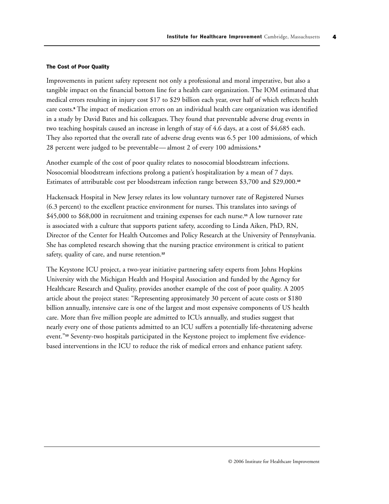#### The Cost of Poor Quality

Improvements in patient safety represent not only a professional and moral imperative, but also a tangible impact on the financial bottom line for a health care organization. The IOM estimated that medical errors resulting in injury cost \$17 to \$29 billion each year, over half of which reflects health care costs.<sup>8</sup> The impact of medication errors on an individual health care organization was identified in a study by David Bates and his colleagues. They found that preventable adverse drug events in two teaching hospitals caused an increase in length of stay of 4.6 days, at a cost of \$4,685 each. They also reported that the overall rate of adverse drug events was 6.5 per 100 admissions, of which 28 percent were judged to be preventable— almost 2 of every 100 admissions.<sup>9</sup>

Another example of the cost of poor quality relates to nosocomial bloodstream infections. Nosocomial bloodstream infections prolong a patient's hospitalization by a mean of 7 days. Estimates of attributable cost per bloodstream infection range between \$3,700 and \$29,000.<sup>10</sup>

Hackensack Hospital in New Jersey relates its low voluntary turnover rate of Registered Nurses (6.3 percent) to the excellent practice environment for nurses. This translates into savings of \$45,000 to \$68,000 in recruitment and training expenses for each nurse.<sup>11</sup> A low turnover rate is associated with a culture that supports patient safety, according to Linda Aiken, PhD, RN, Director of the Center for Health Outcomes and Policy Research at the University of Pennsylvania. She has completed research showing that the nursing practice environment is critical to patient safety, quality of care, and nurse retention.<sup>12</sup>

The Keystone ICU project, a two-year initiative partnering safety experts from Johns Hopkins University with the Michigan Health and Hospital Association and funded by the Agency for Healthcare Research and Quality, provides another example of the cost of poor quality. A 2005 article about the project states: "Representing approximately 30 percent of acute costs or \$180 billion annually, intensive care is one of the largest and most expensive components of US health care. More than five million people are admitted to ICUs annually, and studies suggest that nearly every one of those patients admitted to an ICU suffers a potentially life-threatening adverse event."<sup>13</sup> Seventy-two hospitals participated in the Keystone project to implement five evidencebased interventions in the ICU to reduce the risk of medical errors and enhance patient safety.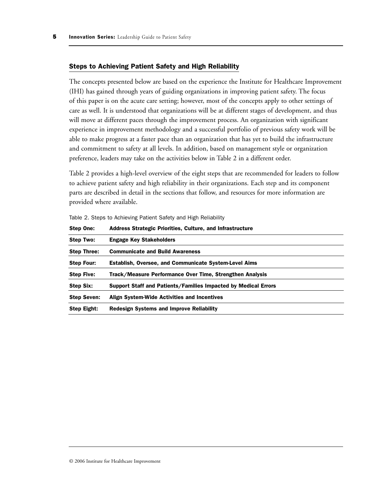#### Steps to Achieving Patient Safety and High Reliability

The concepts presented below are based on the experience the Institute for Healthcare Improvement (IHI) has gained through years of guiding organizations in improving patient safety. The focus of this paper is on the acute care setting; however, most of the concepts apply to other settings of care as well. It is understood that organizations will be at different stages of development, and thus will move at different paces through the improvement process. An organization with significant experience in improvement methodology and a successful portfolio of previous safety work will be able to make progress at a faster pace than an organization that has yet to build the infrastructure and commitment to safety at all levels. In addition, based on management style or organization preference, leaders may take on the activities below in Table 2 in a different order.

Table 2 provides a high-level overview of the eight steps that are recommended for leaders to follow to achieve patient safety and high reliability in their organizations. Each step and its component parts are described in detail in the sections that follow, and resources for more information are provided where available.

| Step One:          | Address Strategic Priorities, Culture, and Infrastructure      |
|--------------------|----------------------------------------------------------------|
| Step Two:          | <b>Engage Key Stakeholders</b>                                 |
| <b>Step Three:</b> | <b>Communicate and Build Awareness</b>                         |
| <b>Step Four:</b>  | <b>Establish, Oversee, and Communicate System-Level Aims</b>   |
| <b>Step Five:</b>  | Track/Measure Performance Over Time, Strengthen Analysis       |
| <b>Step Six:</b>   | Support Staff and Patients/Families Impacted by Medical Errors |
| <b>Step Seven:</b> | Align System-Wide Activities and Incentives                    |
| <b>Step Eight:</b> | <b>Redesign Systems and Improve Reliability</b>                |

Table 2. Steps to Achieving Patient Safety and High Reliability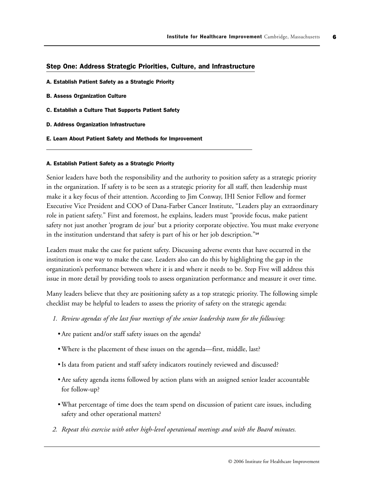## Step One: Address Strategic Priorities, Culture, and Infrastructure

- A. Establish Patient Safety as a Strategic Priority
- B. Assess Organization Culture
- C. Establish a Culture That Supports Patient Safety
- D. Address Organization Infrastructure
- E. Learn About Patient Safety and Methods for Improvement

#### A. Establish Patient Safety as a Strategic Priority

Senior leaders have both the responsibility and the authority to position safety as a strategic priority in the organization. If safety is to be seen as a strategic priority for all staff, then leadership must make it a key focus of their attention. According to Jim Conway, IHI Senior Fellow and former Executive Vice President and COO of Dana-Farber Cancer Institute, "Leaders play an extraordinary role in patient safety." First and foremost, he explains, leaders must "provide focus, make patient safety not just another 'program de jour' but a priority corporate objective. You must make everyone in the institution understand that safety is part of his or her job description."<sup>14</sup>

Leaders must make the case for patient safety. Discussing adverse events that have occurred in the institution is one way to make the case. Leaders also can do this by highlighting the gap in the organization's performance between where it is and where it needs to be. Step Five will address this issue in more detail by providing tools to assess organization performance and measure it over time.

Many leaders believe that they are positioning safety as a top strategic priority. The following simple checklist may be helpful to leaders to assess the priority of safety on the strategic agenda:

- *1. Review agendas of the last four meetings of the senior leadership team for the following:*
	- Are patient and/or staff safety issues on the agenda?
	- Where is the placement of these issues on the agenda—first, middle, last?
	- Is data from patient and staff safety indicators routinely reviewed and discussed?
	- Are safety agenda items followed by action plans with an assigned senior leader accountable for follow-up?
	- What percentage of time does the team spend on discussion of patient care issues, including safety and other operational matters?
- *2. Repeat this exercise with other high-level operational meetings and with the Board minutes.*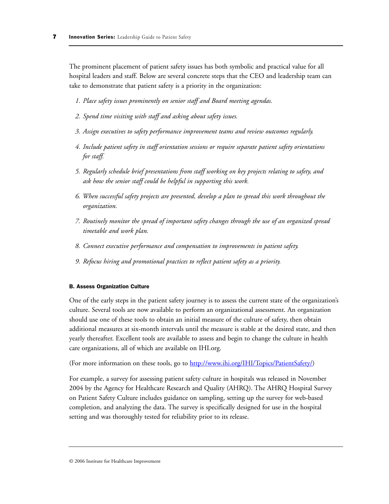The prominent placement of patient safety issues has both symbolic and practical value for all hospital leaders and staff. Below are several concrete steps that the CEO and leadership team can take to demonstrate that patient safety is a priority in the organization:

- *1. Place safety issues prominently on senior staff and Board meeting agendas.*
- *2. Spend time visiting with staff and asking about safety issues.*
- *3. Assign executives to safety performance improvement teams and review outcomes regularly.*
- *4. Include patient safety in staff orientation sessions or require separate patient safety orientations for staff.*
- *5. Regularly schedule brief presentations from staff working on key projects relating to safety, and ask how the senior staff could be helpful in supporting this work.*
- *6. When successful safety projects are presented, develop a plan to spread this work throughout the organization.*
- *7. Routinely monitor the spread of important safety changes through the use of an organized spread timetable and work plan.*
- *8. Connect executive performance and compensation to improvements in patient safety.*
- *9. Refocus hiring and promotional practices to reflect patient safety as a priority.*

#### B. Assess Organization Culture

One of the early steps in the patient safety journey is to assess the current state of the organization's culture. Several tools are now available to perform an organizational assessment. An organization should use one of these tools to obtain an initial measure of the culture of safety, then obtain additional measures at six-month intervals until the measure is stable at the desired state, and then yearly thereafter. Excellent tools are available to assess and begin to change the culture in health care organizations, all of which are available on IHI.org.

(For more information on these tools, go to [http://www.ihi.org/IHI/Topics/PatientSafety/\)](http://www.ihi.org/IHI/Topics/PatientSafety/)

For example, a survey for assessing patient safety culture in hospitals was released in November 2004 by the Agency for Healthcare Research and Quality (AHRQ). The AHRQ Hospital Survey on Patient Safety Culture includes guidance on sampling, setting up the survey for web-based completion, and analyzing the data. The survey is specifically designed for use in the hospital setting and was thoroughly tested for reliability prior to its release.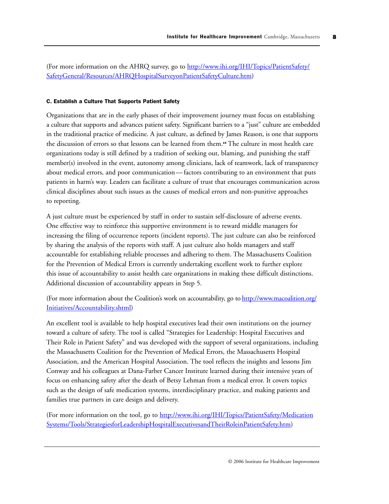(For more information on the AHRQ survey, go to [http://www.ihi.org/IHI/Topics/PatientSafety/](http://www.ihi.org/IHI/Topics/PatientSafety/SafetyGeneral/Resources/AHRQHospitalSurveyonPatientSafetyCulture.htm) [SafetyGeneral/Resources/AHRQHospitalSurveyonPatientSafetyCulture.htm\)](http://www.ihi.org/IHI/Topics/PatientSafety/SafetyGeneral/Resources/AHRQHospitalSurveyonPatientSafetyCulture.htm)

## C. Establish a Culture That Supports Patient Safety

Organizations that are in the early phases of their improvement journey must focus on establishing a culture that supports and advances patient safety. Significant barriers to a "just" culture are embedded in the traditional practice of medicine. A just culture, as defined by James Reason, is one that supports the discussion of errors so that lessons can be learned from them.<sup>15</sup> The culture in most health care organizations today is still defined by a tradition of seeking out, blaming, and punishing the staff member(s) involved in the event, autonomy among clinicians, lack of teamwork, lack of transparency about medical errors, and poor communication— factors contributing to an environment that puts patients in harm's way. Leaders can facilitate a culture of trust that encourages communication across clinical disciplines about such issues as the causes of medical errors and non-punitive approaches to reporting.

A just culture must be experienced by staff in order to sustain self-disclosure of adverse events. One effective way to reinforce this supportive environment is to reward middle managers for increasing the filing of occurrence reports (incident reports). The just culture can also be reinforced by sharing the analysis of the reports with staff. A just culture also holds managers and staff accountable for establishing reliable processes and adhering to them. The Massachusetts Coalition for the Prevention of Medical Errors is currently undertaking excellent work to further explore this issue of accountability to assist health care organizations in making these difficult distinctions. Additional discussion of accountability appears in Step 5.

(For more information about the Coalition's work on accountability, go t[o http://www.macoalition.org/](http://www.macoalition.org/Initiatives/Accountability.shtml) [Initiatives/Accountability.shtml\)](http://www.macoalition.org/Initiatives/Accountability.shtml)

An excellent tool is available to help hospital executives lead their own institutions on the journey toward a culture of safety. The tool is called "Strategies for Leadership: Hospital Executives and Their Role in Patient Safety" and was developed with the support of several organizations, including the Massachusetts Coalition for the Prevention of Medical Errors, the Massachusetts Hospital Association, and the American Hospital Association. The tool reflects the insights and lessons Jim Conway and his colleagues at Dana-Farber Cancer Institute learned during their intensive years of focus on enhancing safety after the death of Betsy Lehman from a medical error. It covers topics such as the design of safe medication systems, interdisciplinary practice, and making patients and families true partners in care design and delivery.

(For more information on the tool, go to [http://www.ihi.org/IHI/Topics/PatientSafety/Medication](http://www.ihi.org/IHI/Topics/PatientSafety/MedicationSystems/Tools/StrategiesforLeadershipHospitalExecutivesandTheirRoleinPatientSafety.htm) [Systems/Tools/StrategiesforLeadershipHospitalExecutivesandTheirRoleinPatientSafety.htm\)](http://www.ihi.org/IHI/Topics/PatientSafety/MedicationSystems/Tools/StrategiesforLeadershipHospitalExecutivesandTheirRoleinPatientSafety.htm)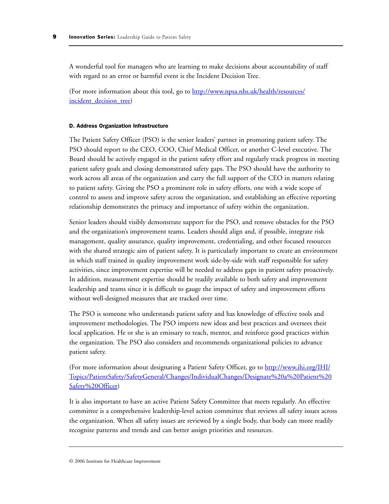A wonderful tool for managers who are learning to make decisions about accountability of staff with regard to an error or harmful event is the Incident Decision Tree.

(For more information about this tool, go t[o http://www.npsa.nhs.uk/health/resources/](http://www.npsa.nhs.uk/health/resources/incident_decision_tree) incident decision tree)

#### D. Address Organization Infrastructure

The Patient Safety Officer (PSO) is the senior leaders' partner in promoting patient safety. The PSO should report to the CEO, COO, Chief Medical Officer, or another C-level executive. The Board should be actively engaged in the patient safety effort and regularly track progress in meeting patient safety goals and closing demonstrated safety gaps. The PSO should have the authority to work across all areas of the organization and carry the full support of the CEO in matters relating to patient safety. Giving the PSO a prominent role in safety efforts, one with a wide scope of control to assess and improve safety across the organization, and establishing an effective reporting relationship demonstrates the primacy and importance of safety within the organization.

Senior leaders should visibly demonstrate support for the PSO, and remove obstacles for the PSO and the organization's improvement teams. Leaders should align and, if possible, integrate risk management, quality assurance, quality improvement, credentialing, and other focused resources with the shared strategic aim of patient safety. It is particularly important to create an environment in which staff trained in quality improvement work side-by-side with staff responsible for safety activities, since improvement expertise will be needed to address gaps in patient safety proactively. In addition, measurement expertise should be readily available to both safety and improvement leadership and teams since it is difficult to gauge the impact of safety and improvement efforts without well-designed measures that are tracked over time.

The PSO is someone who understands patient safety and has knowledge of effective tools and improvement methodologies. The PSO imports new ideas and best practices and oversees their local application. He or she is an emissary to teach, mentor, and reinforce good practices within the organization. The PSO also considers and recommends organizational policies to advance patient safety.

(For more information about designating a Patient Safety Officer, go t[o http://www.ihi.org/IHI/](http://www.ihi.org/IHI/Topics/PatientSafety/SafetyGeneral/Changes/IndividualChanges/Designate%20a%20Patient%20Safety%20Officer) [Topics/PatientSafety/SafetyGeneral/Changes/IndividualChanges/Designate%20a%20Patient%20](http://www.ihi.org/IHI/Topics/PatientSafety/SafetyGeneral/Changes/IndividualChanges/Designate%20a%20Patient%20Safety%20Officer) Safety%20Officer)

It is also important to have an active Patient Safety Committee that meets regularly. An effective committee is a comprehensive leadership-level action committee that reviews all safety issues across the organization. When all safety issues are reviewed by a single body, that body can more readily recognize patterns and trends and can better assign priorities and resources.

<sup>© 2006</sup> Institute for Healthcare Improvement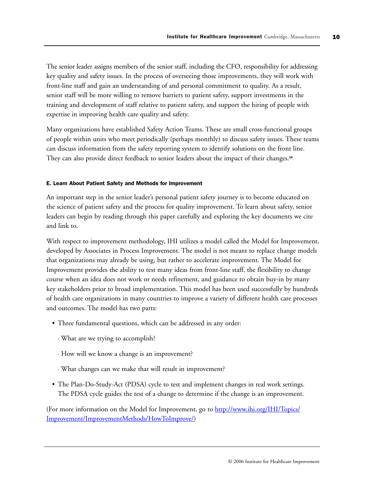The senior leader assigns members of the senior staff, including the CFO, responsibility for addressing key quality and safety issues. In the process of overseeing those improvements, they will work with front-line staff and gain an understanding of and personal commitment to quality. As a result, senior staff will be more willing to remove barriers to patient safety, support investments in the training and development of staff relative to patient safety, and support the hiring of people with expertise in improving health care quality and safety.

Many organizations have established Safety Action Teams. These are small cross-functional groups of people within units who meet periodically (perhaps monthly) to discuss safety issues. These teams can discuss information from the safety reporting system to identify solutions on the front line. They can also provide direct feedback to senior leaders about the impact of their changes.<sup>16</sup>

#### E. Learn About Patient Safety and Methods for Improvement

An important step in the senior leader's personal patient safety journey is to become educated on the science of patient safety and the process for quality improvement. To learn about safety, senior leaders can begin by reading through this paper carefully and exploring the key documents we cite and link to.

With respect to improvement methodology, IHI utilizes a model called the Model for Improvement, developed by Associates in Process Improvement. The model is not meant to replace change models that organizations may already be using, but rather to accelerate improvement. The Model for Improvement provides the ability to test many ideas from front-line staff, the flexibility to change course when an idea does not work or needs refinement, and guidance to obtain buy-in by many key stakeholders prior to broad implementation. This model has been used successfully by hundreds of health care organizations in many countries to improve a variety of different health care processes and outcomes. The model has two parts:

- Three fundamental questions, which can be addressed in any order:
	- What are we trying to accomplish?
	- How will we know a change is an improvement?
	- What changes can we make that will result in improvement?
- The Plan-Do-Study-Act (PDSA) cycle to test and implement changes in real work settings. The PDSA cycle guides the test of a change to determine if the change is an improvement.

(For more information on the Model for Improvement, go t[o http://www.ihi.org/IHI/Topics/](http://www.ihi.org/IHI/Topics/Improvement/ImprovementMethods/HowToImprove/) [Improvement/ImprovementMethods/HowToImprove/\)](http://www.ihi.org/IHI/Topics/Improvement/ImprovementMethods/HowToImprove/)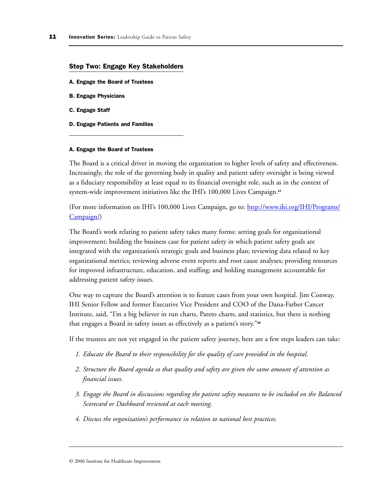#### Step Two: Engage Key Stakeholders

- A. Engage the Board of Trustees
- B. Engage Physicians
- C. Engage Staff
- D. Engage Patients and Families

#### A. Engage the Board of Trustees

The Board is a critical driver in moving the organization to higher levels of safety and effectiveness. Increasingly, the role of the governing body in quality and patient safety oversight is being viewed as a fiduciary responsibility at least equal to its financial oversight role, such as in the context of system-wide improvement initiatives like the IHI's 100,000 Lives Campaign.<sup>17</sup>

(For more information on IHI's 100,000 Lives Campaign, go to[: http://www.ihi.org/IHI/Programs/](http://www.ihi.org/IHI/Programs/Campaign/) [Campaign/\)](http://www.ihi.org/IHI/Programs/Campaign/)

The Board's work relating to patient safety takes many forms: setting goals for organizational improvement; building the business case for patient safety in which patient safety goals are integrated with the organization's strategic goals and business plan; reviewing data related to key organizational metrics; reviewing adverse event reports and root cause analyses; providing resources for improved infrastructure, education, and staffing; and holding management accountable for addressing patient safety issues.

One way to capture the Board's attention is to feature cases from your own hospital. Jim Conway, IHI Senior Fellow and former Executive Vice President and COO of the Dana-Farber Cancer Institute, said, "I'm a big believer in run charts, Pareto charts, and statistics, but there is nothing that engages a Board in safety issues as effectively as a patient's story."<sup>18</sup>

If the trustees are not yet engaged in the patient safety journey, here are a few steps leaders can take:

- *1. Educate the Board to their responsibility for the quality of care provided in the hospital.*
- *2. Structure the Board agenda so that quality and safety are given the same amount of attention as financial issues.*
- *3. Engage the Board in discussions regarding the patient safety measures to be included on the Balanced Scorecard or Dashboard reviewed at each meeting.*
- *4. Discuss the organization's performance in relation to national best practices.*

<sup>© 2006</sup> Institute for Healthcare Improvement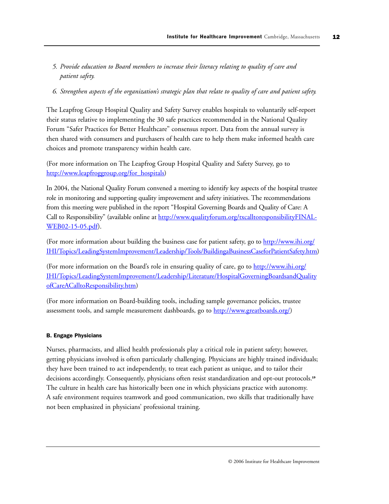- *5. Provide education to Board members to increase their literacy relating to quality of care and patient safety.*
- *6. Strengthen aspects of the organization's strategic plan that relate to quality of care and patient safety.*

The Leapfrog Group Hospital Quality and Safety Survey enables hospitals to voluntarily self-report their status relative to implementing the 30 safe practices recommended in the National Quality Forum "Safer Practices for Better Healthcare" consensus report. Data from the annual survey is then shared with consumers and purchasers of health care to help them make informed health care choices and promote transparency within health care.

(For more information on The Leapfrog Group Hospital Quality and Safety Survey, go to [http://www.leapfroggroup.org/for\\_hospitals\)](http://www.leapfroggroup.org/for_hospitals)

In 2004, the National Quality Forum convened a meeting to identify key aspects of the hospital trustee role in monitoring and supporting quality improvement and safety initiatives. The recommendations from this meeting were published in the report "Hospital Governing Boards and Quality of Care: A Call to Responsibility" (available online a[t http://www.qualityforum.org/txcalltoresponsibilityFINAL-](http://www.qualityforum.org/txcalltoresponsibilityFINAL-WEB02-15-05.pdf)[WEB02-15-05.pdf\).](http://www.qualityforum.org/txcalltoresponsibilityFINAL-WEB02-15-05.pdf)

(For more information about building the business case for patient safety, go t[o http://www.ihi.org/](http://www.ihi.org/IHI/Topics/LeadingSystemImprovement/Leadership/Tools/BuildingaBusinessCaseforPatientSafety.htm) [IHI/Topics/LeadingSystemImprovement/Leadership/Tools/BuildingaBusinessCaseforPatientSafety.htm\)](http://www.ihi.org/IHI/Topics/LeadingSystemImprovement/Leadership/Tools/BuildingaBusinessCaseforPatientSafety.htm)

(For more information on the Board's role in ensuring quality of care, go t[o http://www.ihi.org/](http://www.ihi.org/IHI/Topics/LeadingSystemImprovement/Leadership/Literature/HospitalGoverningBoardsandQualityofCareACalltoResponsibility.htm) [IHI/Topics/LeadingSystemImprovement/Leadership/Literature/HospitalGoverningBoardsandQuality](http://www.ihi.org/IHI/Topics/LeadingSystemImprovement/Leadership/Literature/HospitalGoverningBoardsandQualityofCareACalltoResponsibility.htm) [ofCareACalltoResponsibility.htm\)](http://www.ihi.org/IHI/Topics/LeadingSystemImprovement/Leadership/Literature/HospitalGoverningBoardsandQualityofCareACalltoResponsibility.htm)

(For more information on Board-building tools, including sample governance policies, trustee assessment tools, and sample measurement dashboards, go t[o http://www.greatboards.org/\)](http://www.greatboards.org/)

# B. Engage Physicians

Nurses, pharmacists, and allied health professionals play a critical role in patient safety; however, getting physicians involved is often particularly challenging. Physicians are highly trained individuals; they have been trained to act independently, to treat each patient as unique, and to tailor their decisions accordingly. Consequently, physicians often resist standardization and opt-out protocols.<sup>19</sup> The culture in health care has historically been one in which physicians practice with autonomy. A safe environment requires teamwork and good communication, two skills that traditionally have not been emphasized in physicians' professional training.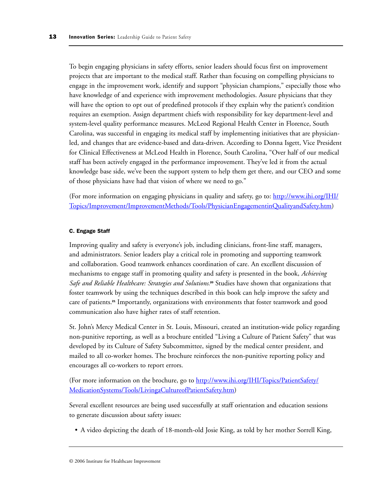To begin engaging physicians in safety efforts, senior leaders should focus first on improvement projects that are important to the medical staff. Rather than focusing on compelling physicians to engage in the improvement work, identify and support "physician champions," especially those who have knowledge of and experience with improvement methodologies. Assure physicians that they will have the option to opt out of predefined protocols if they explain why the patient's condition requires an exemption. Assign department chiefs with responsibility for key department-level and system-level quality performance measures. McLeod Regional Health Center in Florence, South Carolina, was successful in engaging its medical staff by implementing initiatives that are physicianled, and changes that are evidence-based and data-driven. According to Donna Isgett, Vice President for Clinical Effectiveness at McLeod Health in Florence, South Carolina, "Over half of our medical staff has been actively engaged in the performance improvement. They've led it from the actual knowledge base side, we've been the support system to help them get there, and our CEO and some of those physicians have had that vision of where we need to go."

(For more information on engaging physicians in quality and safety, go to[: http://www.ihi.org/IHI/](http://www.ihi.org/IHI/Topics/Improvement/ImprovementMethods/Tools/PhysicianEngagementinQualityandSafety.htm) [Topics/Improvement/ImprovementMethods/Tools/PhysicianEngagementinQualityandSafety.htm\)](http://www.ihi.org/IHI/Topics/Improvement/ImprovementMethods/Tools/PhysicianEngagementinQualityandSafety.htm)

## C. Engage Staff

Improving quality and safety is everyone's job, including clinicians, front-line staff, managers, and administrators. Senior leaders play a critical role in promoting and supporting teamwork and collaboration. Good teamwork enhances coordination of care. An excellent discussion of mechanisms to engage staff in promoting quality and safety is presented in the book, *Achieving Safe and Reliable Healthcare: Strategies and Solutions.*<sup>20</sup> Studies have shown that organizations that foster teamwork by using the techniques described in this book can help improve the safety and care of patients.<sup>21</sup> Importantly, organizations with environments that foster teamwork and good communication also have higher rates of staff retention.

St. John's Mercy Medical Center in St. Louis, Missouri, created an institution-wide policy regarding non-punitive reporting, as well as a brochure entitled "Living a Culture of Patient Safety" that was developed by its Culture of Safety Subcommittee, signed by the medical center president, and mailed to all co-worker homes. The brochure reinforces the non-punitive reporting policy and encourages all co-workers to report errors.

(For more information on the brochure, go t[o http://www.ihi.org/IHI/Topics/PatientSafety/](http://www.ihi.org/IHI/Topics/PatientSafety/MedicationSystems/Tools/LivingaCultureofPatientSafety.htm) [MedicationSystems/Tools/LivingaCultureofPatientSafety.htm\)](http://www.ihi.org/IHI/Topics/PatientSafety/MedicationSystems/Tools/LivingaCultureofPatientSafety.htm)

Several excellent resources are being used successfully at staff orientation and education sessions to generate discussion about safety issues:

• A video depicting the death of 18-month-old Josie King, as told by her mother Sorrell King,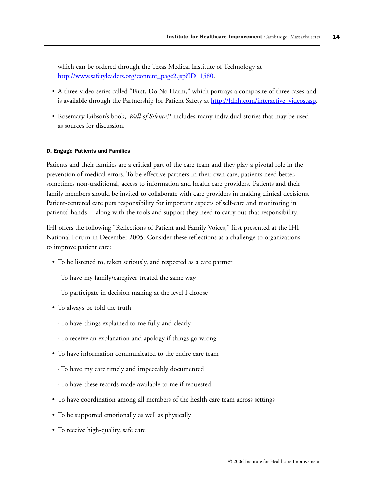which can be ordered through the Texas Medical Institute of Technology at http://www.safetyleaders.org/content\_page2.jsp?ID=1580.

- A three-video series called "First, Do No Harm," which portrays a composite of three cases and is available through the Partnership for Patient Safety at http://fdnh.com/interactive\_videos.asp.
- Rosemary Gibson's book, *Wall of Silence*, <sup>22</sup> includes many individual stories that may be used as sources for discussion.

## D. Engage Patients and Families

Patients and their families are a critical part of the care team and they play a pivotal role in the prevention of medical errors. To be effective partners in their own care, patients need better, sometimes non-traditional, access to information and health care providers. Patients and their family members should be invited to collaborate with care providers in making clinical decisions. Patient-centered care puts responsibility for important aspects of self-care and monitoring in patients' hands — along with the tools and support they need to carry out that responsibility.

IHI offers the following "Reflections of Patient and Family Voices," first presented at the IHI National Forum in December 2005. Consider these reflections as a challenge to organizations to improve patient care:

- To be listened to, taken seriously, and respected as a care partner
	- To have my family/caregiver treated the same way
	- To participate in decision making at the level I choose
- To always be told the truth
	- To have things explained to me fully and clearly
	- To receive an explanation and apology if things go wrong
- To have information communicated to the entire care team
	- To have my care timely and impeccably documented
	- To have these records made available to me if requested
- To have coordination among all members of the health care team across settings
- To be supported emotionally as well as physically
- To receive high-quality, safe care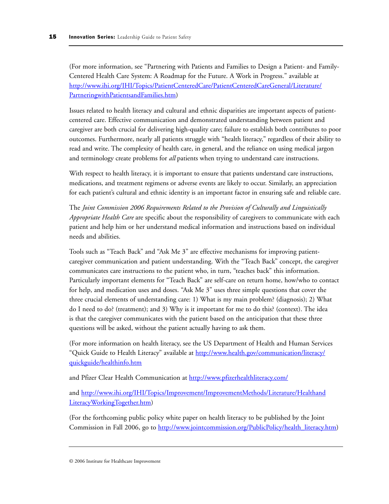(For more information, see "Partnering with Patients and Families to Design a Patient- and Family-Centered Health Care System: A Roadmap for the Future. A Work in Progress." available at [http://www.ihi.org/IHI/Topics/PatientCenteredCare/PatientCenteredCareGeneral/Literature/](http://www.ihi.org/IHI/Topics/PatientCenteredCare/PatientCenteredCareGeneral/Literature/PartneringwithPatientsandFamilies.htm) [PartneringwithPatientsandFamilies.htm\)](http://www.ihi.org/IHI/Topics/PatientCenteredCare/PatientCenteredCareGeneral/Literature/PartneringwithPatientsandFamilies.htm) 

Issues related to health literacy and cultural and ethnic disparities are important aspects of patientcentered care. Effective communication and demonstrated understanding between patient and caregiver are both crucial for delivering high-quality care; failure to establish both contributes to poor outcomes. Furthermore, nearly all patients struggle with "health literacy," regardless of their ability to read and write. The complexity of health care, in general, and the reliance on using medical jargon and terminology create problems for *all* patients when trying to understand care instructions.

With respect to health literacy, it is important to ensure that patients understand care instructions, medications, and treatment regimens or adverse events are likely to occur. Similarly, an appreciation for each patient's cultural and ethnic identity is an important factor in ensuring safe and reliable care.

The *Joint Commission 2006 Requirements Related to the Provision of Culturally and Linguistically Appropriate Health Care* are specific about the responsibility of caregivers to communicate with each patient and help him or her understand medical information and instructions based on individual needs and abilities.

Tools such as "Teach Back" and "Ask Me 3" are effective mechanisms for improving patientcaregiver communication and patient understanding. With the "Teach Back" concept, the caregiver communicates care instructions to the patient who, in turn, "teaches back" this information. Particularly important elements for "Teach Back" are self-care on return home, how/who to contact for help, and medication uses and doses. "Ask Me 3" uses three simple questions that cover the three crucial elements of understanding care: 1) What is my main problem? (diagnosis); 2) What do I need to do? (treatment); and 3) Why is it important for me to do this? (context). The idea is that the caregiver communicates with the patient based on the anticipation that these three questions will be asked, without the patient actually having to ask them.

(For more information on health literacy, see the US Department of Health and Human Services "Quick Guide to Health Literacy" available at [http://www.health.gov/communication/literacy/](http://www.health.gov/communication/literacy/quickguide/healthinfo.htm) [quickguide/healthinfo.htm](http://www.health.gov/communication/literacy/quickguide/healthinfo.htm)

and Pfizer Clear Health Communication a[t http://www.pfizerhealthliteracy.com/](http://www.pfizerhealthliteracy.com/)

and [http://www.ihi.org/IHI/Topics/Improvement/ImprovementMethods/Literature/Healthand](http://www.ihi.org/IHI/Topics/Improvement/ImprovementMethods/Literature/HealthandLiteracyWorkingTogether.htm) [LiteracyWorkingTogether.htm\)](http://www.ihi.org/IHI/Topics/Improvement/ImprovementMethods/Literature/HealthandLiteracyWorkingTogether.htm)

(For the forthcoming public policy white paper on health literacy to be published by the Joint Commission in Fall 2006, go t[o http://www.jointcommission.org/PublicPolicy/health\\_literacy.htm\)](http://www.jointcommission.org/PublicPolicy/health_literacy.htm)

<sup>© 2006</sup> Institute for Healthcare Improvement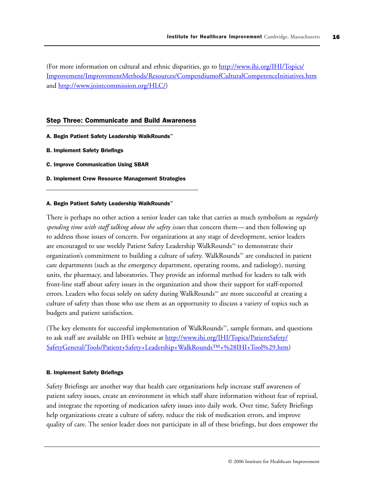(For more information on cultural and ethnic disparities, go t[o http://www.ihi.org/IHI/Topics/](http://www.ihi.org/IHI/Topics/Improvement/ImprovementMethods/Resources/CompendiumofCulturalCompetenceInitiatives.htm) [Improvement/ImprovementMethods/Resources/CompendiumofCulturalCompetenceInitiatives.htm](http://www.ihi.org/IHI/Topics/Improvement/ImprovementMethods/Resources/CompendiumofCulturalCompetenceInitiatives.htm) and [http://www.jointcommission.org/HLC/\)](http://www.jointcommission.org/HLC/)

#### Step Three: Communicate and Build Awareness

- A. Begin Patient Safety Leadership WalkRounds™
- B. Implement Safety Briefings
- C. Improve Communication Using SBAR
- D. Implement Crew Resource Management Strategies

#### A. Begin Patient Safety Leadership WalkRounds™

There is perhaps no other action a senior leader can take that carries as much symbolism as *regularly spending time with staff talking about the safety issues* that concern them— and then following up to address those issues of concern. For organizations at any stage of development, senior leaders are encouraged to use weekly Patient Safety Leadership WalkRounds™ to demonstrate their organization's commitment to building a culture of safety. WalkRounds™ are conducted in patient care departments (such as the emergency department, operating rooms, and radiology), nursing units, the pharmacy, and laboratories. They provide an informal method for leaders to talk with front-line staff about safety issues in the organization and show their support for staff-reported errors. Leaders who focus solely on safety during WalkRounds™ are more successful at creating a culture of safety than those who use them as an opportunity to discuss a variety of topics such as budgets and patient satisfaction.

(The key elements for successful implementation of WalkRounds™, sample formats, and questions to ask staff are available on IHI's website at [http://www.ihi.org/IHI/Topics/PatientSafety/](http://www.ihi.org/IHI/Topics/PatientSafety/SafetyGeneral/Tools/Patient+Safety+Leadership+Walkrounds%E2%84%A2+%28IHI+Tool%29.htm) [SafetyGeneral/Tools/Patient+Safety+Leadership+WalkRounds™+%28IHI+Tool%29.htm\)](http://www.ihi.org/IHI/Topics/PatientSafety/SafetyGeneral/Tools/Patient+Safety+Leadership+Walkrounds%E2%84%A2+%28IHI+Tool%29.htm)

#### B. Implement Safety Briefings

Safety Briefings are another way that health care organizations help increase staff awareness of patient safety issues, create an environment in which staff share information without fear of reprisal, and integrate the reporting of medication safety issues into daily work. Over time, Safety Briefings help organizations create a culture of safety, reduce the risk of medication errors, and improve quality of care. The senior leader does not participate in all of these briefings, but does empower the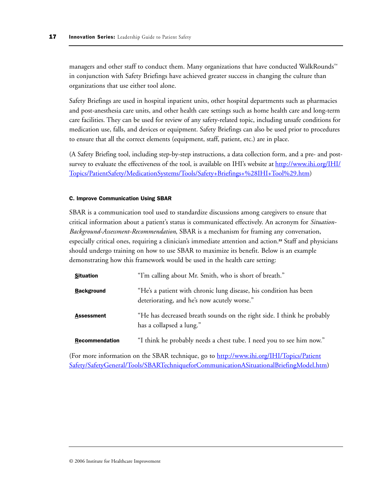managers and other staff to conduct them. Many organizations that have conducted WalkRounds™ in conjunction with Safety Briefings have achieved greater success in changing the culture than organizations that use either tool alone.

Safety Briefings are used in hospital inpatient units, other hospital departments such as pharmacies and post-anesthesia care units, and other health care settings such as home health care and long-term care facilities. They can be used for review of any safety-related topic, including unsafe conditions for medication use, falls, and devices or equipment. Safety Briefings can also be used prior to procedures to ensure that all the correct elements (equipment, staff, patient, etc.) are in place.

(A Safety Briefing tool, including step-by-step instructions, a data collection form, and a pre- and postsurvey to evaluate the effectiveness of the tool, is available on IHI's website a[t http://www.ihi.org/IHI/](http://www.ihi.org/IHI/Topics/PatientSafety/MedicationSystems/Tools/Safety+Briefings+%28IHI+Tool%29.htm) [Topics/PatientSafety/MedicationSystems/Tools/Safety+Briefings+%28IHI+Tool%29.htm\)](http://www.ihi.org/IHI/Topics/PatientSafety/MedicationSystems/Tools/Safety+Briefings+%28IHI+Tool%29.htm)

#### C. Improve Communication Using SBAR

SBAR is a communication tool used to standardize discussions among caregivers to ensure that critical information about a patient's status is communicated effectively. An acronym for *Situation-Background-Assessment-Recommendation*, SBAR is a mechanism for framing any conversation, especially critical ones, requiring a clinician's immediate attention and action.<sup>23</sup> Staff and physicians should undergo training on how to use SBAR to maximize its benefit. Below is an example demonstrating how this framework would be used in the health care setting:

| <b>Situation</b>      | "I'm calling about Mr. Smith, who is short of breath."                                                           |
|-----------------------|------------------------------------------------------------------------------------------------------------------|
| <b>Background</b>     | "He's a patient with chronic lung disease, his condition has been<br>deteriorating, and he's now acutely worse." |
| <b>Assessment</b>     | "He has decreased breath sounds on the right side. I think he probably<br>has a collapsed a lung."               |
| <b>Recommendation</b> | "I think he probably needs a chest tube. I need you to see him now."                                             |

(For more information on the SBAR technique, go t[o http://www.ihi.org/IHI/Topics/Patient](http://www.ihi.org/IHI/Topics/PatientSafety/SafetyGeneral/Tools/SBARTechniqueforCommunicationASituationalBriefingModel.htm) [Safety/SafetyGeneral/Tools/SBARTechniqueforCommunicationASituationalBriefingModel.htm\)](http://www.ihi.org/IHI/Topics/PatientSafety/SafetyGeneral/Tools/SBARTechniqueforCommunicationASituationalBriefingModel.htm)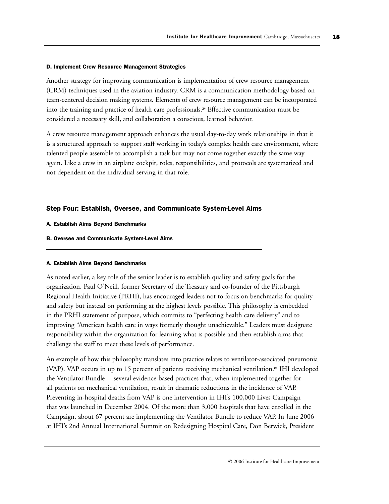#### D. Implement Crew Resource Management Strategies

Another strategy for improving communication is implementation of crew resource management (CRM) techniques used in the aviation industry. CRM is a communication methodology based on team-centered decision making systems. Elements of crew resource management can be incorporated into the training and practice of health care professionals.<sup>24</sup> Effective communication must be considered a necessary skill, and collaboration a conscious, learned behavior.

A crew resource management approach enhances the usual day-to-day work relationships in that it is a structured approach to support staff working in today's complex health care environment, where talented people assemble to accomplish a task but may not come together exactly the same way again. Like a crew in an airplane cockpit, roles, responsibilities, and protocols are systematized and not dependent on the individual serving in that role.

#### Step Four: Establish, Oversee, and Communicate System-Level Aims

- A. Establish Aims Beyond Benchmarks
- B. Oversee and Communicate System-Level Aims

#### A. Establish Aims Beyond Benchmarks

As noted earlier, a key role of the senior leader is to establish quality and safety goals for the organization. Paul O'Neill, former Secretary of the Treasury and co-founder of the Pittsburgh Regional Health Initiative (PRHI), has encouraged leaders not to focus on benchmarks for quality and safety but instead on performing at the highest levels possible. This philosophy is embedded in the PRHI statement of purpose, which commits to "perfecting health care delivery" and to improving "American health care in ways formerly thought unachievable." Leaders must designate responsibility within the organization for learning what is possible and then establish aims that challenge the staff to meet these levels of performance.

An example of how this philosophy translates into practice relates to ventilator-associated pneumonia (VAP). VAP occurs in up to 15 percent of patients receiving mechanical ventilation.<sup>25</sup> IHI developed the Ventilator Bundle— several evidence-based practices that, when implemented together for all patients on mechanical ventilation, result in dramatic reductions in the incidence of VAP. Preventing in-hospital deaths from VAP is one intervention in IHI's 100,000 Lives Campaign that was launched in December 2004. Of the more than 3,000 hospitals that have enrolled in the Campaign, about 67 percent are implementing the Ventilator Bundle to reduce VAP. In June 2006 at IHI's 2nd Annual International Summit on Redesigning Hospital Care, Don Berwick, President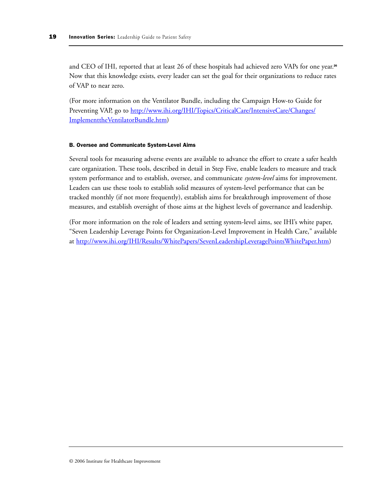and CEO of IHI, reported that at least 26 of these hospitals had achieved zero VAPs for one year.<sup>26</sup> Now that this knowledge exists, every leader can set the goal for their organizations to reduce rates of VAP to near zero.

(For more information on the Ventilator Bundle, including the Campaign How-to Guide for Preventing VAP, go to [http://www.ihi.org/IHI/Topics/CriticalCare/IntensiveCare/Changes/](http://www.ihi.org/IHI/Topics/CriticalCare/IntensiveCare/Changes/ImplementtheVentilatorBundle.htm) [ImplementtheVentilatorBundle.htm\)](http://www.ihi.org/IHI/Topics/CriticalCare/IntensiveCare/Changes/ImplementtheVentilatorBundle.htm)

#### B. Oversee and Communicate System-Level Aims

Several tools for measuring adverse events are available to advance the effort to create a safer health care organization. These tools, described in detail in Step Five, enable leaders to measure and track system performance and to establish, oversee, and communicate *system-level* aims for improvement. Leaders can use these tools to establish solid measures of system-level performance that can be tracked monthly (if not more frequently), establish aims for breakthrough improvement of those measures, and establish oversight of those aims at the highest levels of governance and leadership.

(For more information on the role of leaders and setting system-level aims, see IHI's white paper, "Seven Leadership Leverage Points for Organization-Level Improvement in Health Care," available at [http://www.ihi.org/IHI/Results/WhitePapers/SevenLeadershipLeveragePointsWhitePaper.htm\)](http://www.ihi.org/IHI/Results/WhitePapers/SevenLeadershipLeveragePointsWhitePaper.htm)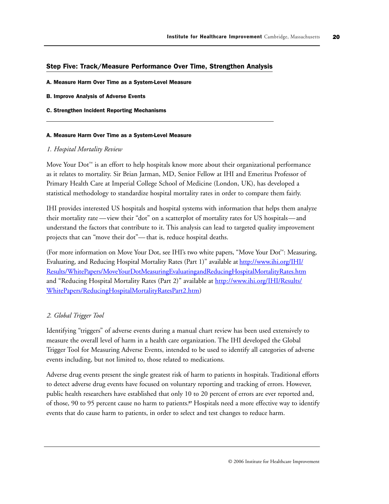#### Step Five: Track/Measure Performance Over Time, Strengthen Analysis

- A. Measure Harm Over Time as a System-Level Measure
- B. Improve Analysis of Adverse Events
- C. Strengthen Incident Reporting Mechanisms

#### A. Measure Harm Over Time as a System-Level Measure

#### *1. Hospital Mortality Review*

Move Your Dot™ is an effort to help hospitals know more about their organizational performance as it relates to mortality. Sir Brian Jarman, MD, Senior Fellow at IHI and Emeritus Professor of Primary Health Care at Imperial College School of Medicine (London, UK), has developed a statistical methodology to standardize hospital mortality rates in order to compare them fairly.

IHI provides interested US hospitals and hospital systems with information that helps them analyze their mortality rate —view their "dot" on a scatterplot of mortality rates for US hospitals—and understand the factors that contribute to it. This analysis can lead to targeted quality improvement projects that can "move their dot"— that is, reduce hospital deaths.

(For more information on Move Your Dot, see IHI's two white papers, "Move Your Dot™: Measuring, Evaluating, and Reducing Hospital Mortality Rates (Part 1)" available at [http://www.ihi.org/IHI/](http://www.ihi.org/IHI/Results/WhitePapers/MoveYourDotMeasuringEvaluatingandReducingHospitalMortalityRates.htm) [Results/WhitePapers/MoveYourDotMeasuringEvaluatingandReducingHospitalMortalityRates.htm](http://www.ihi.org/IHI/Results/WhitePapers/MoveYourDotMeasuringEvaluatingandReducingHospitalMortalityRates.htm) and "Reducing Hospital Mortality Rates (Part 2)" available at [http://www.ihi.org/IHI/Results/](http://www.ihi.org/IHI/Results/WhitePapers/ReducingHospitalMortalityRatesPart2.htm) [WhitePapers/ReducingHospitalMortalityRatesPart2.htm\)](http://www.ihi.org/IHI/Results/WhitePapers/ReducingHospitalMortalityRatesPart2.htm)

## *2. Global Trigger Tool*

Identifying "triggers" of adverse events during a manual chart review has been used extensively to measure the overall level of harm in a health care organization. The IHI developed the Global Trigger Tool for Measuring Adverse Events, intended to be used to identify all categories of adverse events including, but not limited to, those related to medications.

Adverse drug events present the single greatest risk of harm to patients in hospitals. Traditional efforts to detect adverse drug events have focused on voluntary reporting and tracking of errors. However, public health researchers have established that only 10 to 20 percent of errors are ever reported and, of those, 90 to 95 percent cause no harm to patients.<sup>27</sup> Hospitals need a more effective way to identify events that do cause harm to patients, in order to select and test changes to reduce harm.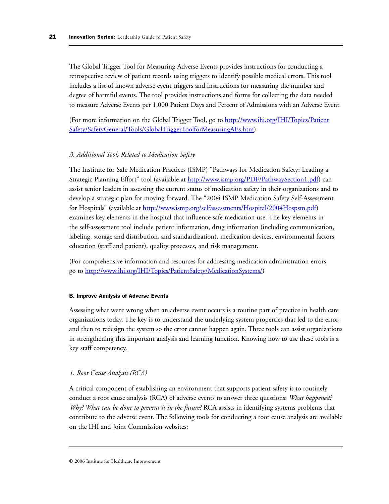The Global Trigger Tool for Measuring Adverse Events provides instructions for conducting a retrospective review of patient records using triggers to identify possible medical errors. This tool includes a list of known adverse event triggers and instructions for measuring the number and degree of harmful events. The tool provides instructions and forms for collecting the data needed to measure Adverse Events per 1,000 Patient Days and Percent of Admissions with an Adverse Event.

(For more information on the Global Trigger Tool, go to [http://www.ihi.org/IHI/Topics/Patient](http://www.ihi.org/IHI/Topics/PatientSafety/SafetyGeneral/Tools/GlobalTriggerToolforMeasuringAEs.htm) [Safety/SafetyGeneral/Tools/GlobalTriggerToolforMeasuringAEs.htm\)](http://www.ihi.org/IHI/Topics/PatientSafety/SafetyGeneral/Tools/GlobalTriggerToolforMeasuringAEs.htm)

## *3. Additional Tools Related to Medication Safety*

The Institute for Safe Medication Practices (ISMP) "Pathways for Medication Safety: Leading a Strategic Planning Effort" tool (available a[t http://www.ismp.org/PDF/PathwaySection1.pdf\)](http://www.ismp.org/PDF/PathwaySection1.pdf) can assist senior leaders in assessing the current status of medication safety in their organizations and to develop a strategic plan for moving forward. The "2004 ISMP Medication Safety Self-Assessment for Hospitals" (available at [http://www.ismp.org/selfassessments/Hospital/2004Hospsm.pdf\)](http://www.ismp.org/selfassessments/Hospital/2004Hospsm.pdf)  examines key elements in the hospital that influence safe medication use. The key elements in the self-assessment tool include patient information, drug information (including communication, labeling, storage and distribution, and standardization), medication devices, environmental factors, education (staff and patient), quality processes, and risk management.

(For comprehensive information and resources for addressing medication administration errors, go to [http://www.ihi.org/IHI/Topics/PatientSafety/MedicationSystems/\)](http://www.ihi.org/IHI/Topics/PatientSafety/MedicationSystems/)

#### B. Improve Analysis of Adverse Events

Assessing what went wrong when an adverse event occurs is a routine part of practice in health care organizations today. The key is to understand the underlying system properties that led to the error, and then to redesign the system so the error cannot happen again. Three tools can assist organizations in strengthening this important analysis and learning function. Knowing how to use these tools is a key staff competency.

## *1. Root Cause Analysis (RCA)*

A critical component of establishing an environment that supports patient safety is to routinely conduct a root cause analysis (RCA) of adverse events to answer three questions: *What happened? Why? What can be done to prevent it in the future?* RCA assists in identifying systems problems that contribute to the adverse event. The following tools for conducting a root cause analysis are available on the IHI and Joint Commission websites: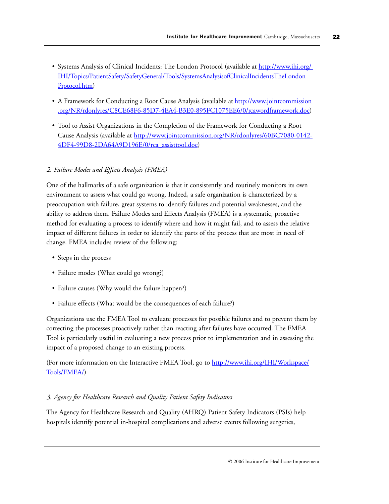- Systems Analysis of Clinical Incidents: The London Protocol (available at http://www.ihi.org/ [IHI/Topics/PatientSafety/SafetyGeneral/Tools/SystemsAnalysisofClinicalIncidentsTheLondon](http://www.ihi.org/IHI/Topics/PatientSafety/SafetyGeneral/Tools/SystemsAnalysisofClinicalIncidentsTheLondonProtocol.htm)  Protocol.htm)
- A Framework for Conducting a Root Cause Analysis (available at http://www.jointcommission [.org/NR/rdonlyres/C8CE68F6-85D7-4EA4-B3E0-895FC1075EE6/0/rcawordframework.doc\)](http://www.jointcommission.org/NR/rdonlyres/C8CE68F6-85D7-4EA4-B3E0-895FC1075EE6/0/rcawordframework.doc)
- Tool to Assist Organizations in the Completion of the Framework for Conducting a Root Cause Analysis (available at [http://www.jointcommission.org/NR/rdonlyres/60BC7080-0142-](http://www.jointcommission.org/NR/rdonlyres/60BC7080-0142-4DF4-99D8-2DA64A9D196E/0/rca_assisttool.doc) [4DF4-99D8-2DA64A9D196E/0/rca\\_assisttool.doc\)](http://www.jointcommission.org/NR/rdonlyres/60BC7080-0142-4DF4-99D8-2DA64A9D196E/0/rca_assisttool.doc)

# *2. Failure Modes and Effects Analysis (FMEA)*

One of the hallmarks of a safe organization is that it consistently and routinely monitors its own environment to assess what could go wrong. Indeed, a safe organization is characterized by a preoccupation with failure, great systems to identify failures and potential weaknesses, and the ability to address them. Failure Modes and Effects Analysis (FMEA) is a systematic, proactive method for evaluating a process to identify where and how it might fail, and to assess the relative impact of different failures in order to identify the parts of the process that are most in need of change. FMEA includes review of the following:

- Steps in the process
- Failure modes (What could go wrong?)
- Failure causes (Why would the failure happen?)
- Failure effects (What would be the consequences of each failure?)

Organizations use the FMEA Tool to evaluate processes for possible failures and to prevent them by correcting the processes proactively rather than reacting after failures have occurred. The FMEA Tool is particularly useful in evaluating a new process prior to implementation and in assessing the impact of a proposed change to an existing process.

(For more information on the Interactive FMEA Tool, go to [http://www.ihi.org/IHI/Workspace/](http://www.ihi.org/IHI/Workspace/Tools/FMEA/) [Tools/FMEA/\)](http://www.ihi.org/IHI/Workspace/Tools/FMEA/)

# *3. Agency for Healthcare Research and Quality Patient Safety Indicators*

The Agency for Healthcare Research and Quality (AHRQ) Patient Safety Indicators (PSIs) help hospitals identify potential in-hospital complications and adverse events following surgeries,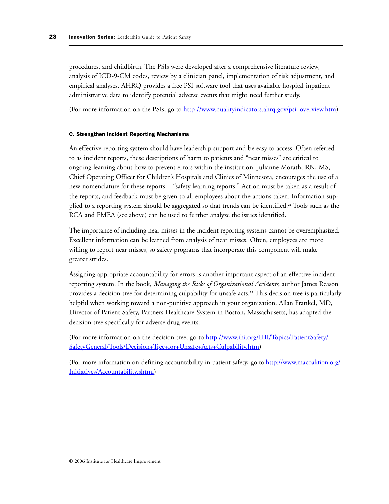procedures, and childbirth. The PSIs were developed after a comprehensive literature review, analysis of ICD-9-CM codes, review by a clinician panel, implementation of risk adjustment, and empirical analyses. AHRQ provides a free PSI software tool that uses available hospital inpatient administrative data to identify potential adverse events that might need further study.

(For more information on the PSIs, go t[o http://www.qualityindicators.ahrq.gov/psi\\_overview.htm\)](http://www.qualityindicators.ahrq.gov/psi_overview.htm)

#### C. Strengthen Incident Reporting Mechanisms

An effective reporting system should have leadership support and be easy to access. Often referred to as incident reports, these descriptions of harm to patients and "near misses" are critical to ongoing learning about how to prevent errors within the institution. Julianne Morath, RN, MS, Chief Operating Officer for Children's Hospitals and Clinics of Minnesota, encourages the use of a new nomenclature for these reports —"safety learning reports." Action must be taken as a result of the reports, and feedback must be given to all employees about the actions taken. Information supplied to a reporting system should be aggregated so that trends can be identified.<sup>28</sup> Tools such as the RCA and FMEA (see above) can be used to further analyze the issues identified.

The importance of including near misses in the incident reporting systems cannot be overemphasized. Excellent information can be learned from analysis of near misses. Often, employees are more willing to report near misses, so safety programs that incorporate this component will make greater strides.

Assigning appropriate accountability for errors is another important aspect of an effective incident reporting system. In the book, *Managing the Risks of Organizational Accidents*, author James Reason provides a decision tree for determining culpability for unsafe acts.<sup>29</sup> This decision tree is particularly helpful when working toward a non-punitive approach in your organization. Allan Frankel, MD, Director of Patient Safety, Partners Healthcare System in Boston, Massachusetts, has adapted the decision tree specifically for adverse drug events.

(For more information on the decision tree, go to [http://www.ihi.org/IHI/Topics/PatientSafety/](http://www.ihi.org/IHI/Topics/PatientSafety/SafetyGeneral/Tools/Decision+Tree+for+Unsafe+Acts+Culpability.htm) [SafetyGeneral/Tools/Decision+Tree+for+Unsafe+Acts+Culpability.htm\)](http://www.ihi.org/IHI/Topics/PatientSafety/SafetyGeneral/Tools/Decision+Tree+for+Unsafe+Acts+Culpability.htm)

(For more information on defining accountability in patient safety, go t[o http://www.macoalition.org/](http://www.macoalition.org/Initiatives/Accountability.shtml) [Initiatives/Accountability.shtml\)](http://www.macoalition.org/Initiatives/Accountability.shtml)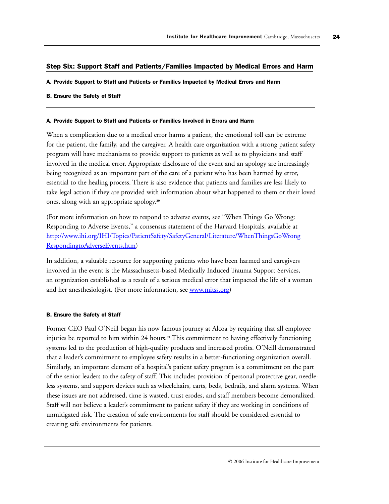## Step Six: Support Staff and Patients/Families Impacted by Medical Errors and Harm

#### A. Provide Support to Staff and Patients or Families Impacted by Medical Errors and Harm

#### B. Ensure the Safety of Staff

#### A. Provide Support to Staff and Patients or Families Involved in Errors and Harm

When a complication due to a medical error harms a patient, the emotional toll can be extreme for the patient, the family, and the caregiver. A health care organization with a strong patient safety program will have mechanisms to provide support to patients as well as to physicians and staff involved in the medical error. Appropriate disclosure of the event and an apology are increasingly being recognized as an important part of the care of a patient who has been harmed by error, essential to the healing process. There is also evidence that patients and families are less likely to take legal action if they are provided with information about what happened to them or their loved ones, along with an appropriate apology.<sup>30</sup>

(For more information on how to respond to adverse events, see "When Things Go Wrong: Responding to Adverse Events," a consensus statement of the Harvard Hospitals, available at [http://www.ihi.org/IHI/Topics/PatientSafety/SafetyGeneral/Literature/WhenThingsGoWrong](http://www.ihi.org/IHI/Topics/PatientSafety/SafetyGeneral/Literature/WhenThingsGoWrongRespondingtoAdverseEvents.htm) [RespondingtoAdverseEvents.htm\)](http://www.ihi.org/IHI/Topics/PatientSafety/SafetyGeneral/Literature/WhenThingsGoWrongRespondingtoAdverseEvents.htm)

In addition, a valuable resource for supporting patients who have been harmed and caregivers involved in the event is the Massachusetts-based Medically Induced Trauma Support Services, an organization established as a result of a serious medical error that impacted the life of a woman and her anesthesiologist. (For more information, see [www.mitss.org\)](http://www.mitss.org)

#### B. Ensure the Safety of Staff

Former CEO Paul O'Neill began his now famous journey at Alcoa by requiring that all employee injuries be reported to him within 24 hours.<sup>31</sup> This commitment to having effectively functioning systems led to the production of high-quality products and increased profits. O'Neill demonstrated that a leader's commitment to employee safety results in a better-functioning organization overall. Similarly, an important element of a hospital's patient safety program is a commitment on the part of the senior leaders to the safety of staff. This includes provision of personal protective gear, needleless systems, and support devices such as wheelchairs, carts, beds, bedrails, and alarm systems. When these issues are not addressed, time is wasted, trust erodes, and staff members become demoralized. Staff will not believe a leader's commitment to patient safety if they are working in conditions of unmitigated risk. The creation of safe environments for staff should be considered essential to creating safe environments for patients.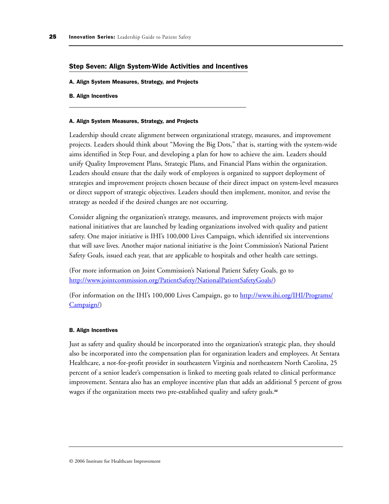#### Step Seven: Align System-Wide Activities and Incentives

A. Align System Measures, Strategy, and Projects

#### B. Align Incentives

#### A. Align System Measures, Strategy, and Projects

Leadership should create alignment between organizational strategy, measures, and improvement projects. Leaders should think about "Moving the Big Dots," that is, starting with the system-wide aims identified in Step Four, and developing a plan for how to achieve the aim. Leaders should unify Quality Improvement Plans, Strategic Plans, and Financial Plans within the organization. Leaders should ensure that the daily work of employees is organized to support deployment of strategies and improvement projects chosen because of their direct impact on system-level measures or direct support of strategic objectives. Leaders should then implement, monitor, and revise the strategy as needed if the desired changes are not occurring.

Consider aligning the organization's strategy, measures, and improvement projects with major national initiatives that are launched by leading organizations involved with quality and patient safety. One major initiative is IHI's 100,000 Lives Campaign, which identified six interventions that will save lives. Another major national initiative is the Joint Commission's National Patient Safety Goals, issued each year, that are applicable to hospitals and other health care settings.

(For more information on Joint Commission's National Patient Safety Goals, go to [http://www.jointcommission.org/PatientSafety/NationalPatientSafetyGoals/\)](http://www.jointcommission.org/PatientSafety/NationalPatientSafetyGoals/) 

(For information on the IHI's 100,000 Lives Campaign, go to [http://www.ihi.org/IHI/Programs/](http://www.ihi.org/IHI/Programs/Campaign/) [Campaign/\)](http://www.ihi.org/IHI/Topics/Programs/Campaign/)

#### B. Align Incentives

Just as safety and quality should be incorporated into the organization's strategic plan, they should also be incorporated into the compensation plan for organization leaders and employees. At Sentara Healthcare, a not-for-profit provider in southeastern Virginia and northeastern North Carolina, 25 percent of a senior leader's compensation is linked to meeting goals related to clinical performance improvement. Sentara also has an employee incentive plan that adds an additional 5 percent of gross wages if the organization meets two pre-established quality and safety goals.<sup>32</sup>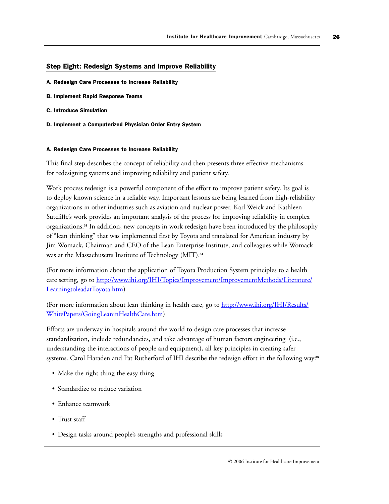## Step Eight: Redesign Systems and Improve Reliability

- A. Redesign Care Processes to Increase Reliability
- B. Implement Rapid Response Teams
- C. Introduce Simulation
- D. Implement a Computerized Physician Order Entry System

#### A. Redesign Care Processes to Increase Reliability

This final step describes the concept of reliability and then presents three effective mechanisms for redesigning systems and improving reliability and patient safety.

Work process redesign is a powerful component of the effort to improve patient safety. Its goal is to deploy known science in a reliable way. Important lessons are being learned from high-reliability organizations in other industries such as aviation and nuclear power. Karl Weick and Kathleen Sutcliffe's work provides an important analysis of the process for improving reliability in complex organizations.<sup>33</sup> In addition, new concepts in work redesign have been introduced by the philosophy of "lean thinking" that was implemented first by Toyota and translated for American industry by Jim Womack, Chairman and CEO of the Lean Enterprise Institute, and colleagues while Womack was at the Massachusetts Institute of Technology (MIT).<sup>34</sup>

(For more information about the application of Toyota Production System principles to a health care setting, go to [http://www.ihi.org/IHI/Topics/Improvement/ImprovementMethods/Literature/](http://www.ihi.org/IHI/Topics/Improvement/ImprovementMethods/Literature/LearningtoleadatToyota.htm) [LearningtoleadatToyota.htm\)](http://www.ihi.org/IHI/Topics/Improvement/ImprovementMethods/Literature/LearningtoleadatToyota.htm)

(For more information about lean thinking in health care, go t[o http://www.ihi.org/IHI/Results/](http://www.ihi.org/IHI/Results/WhitePapers/GoingLeaninHealthCare.htm) [WhitePapers/GoingLeaninHealthCare.htm\)](http://www.ihi.org/IHI/Results/WhitePapers/GoingLeaninHealthCare.htm)

Efforts are underway in hospitals around the world to design care processes that increase standardization, include redundancies, and take advantage of human factors engineering (i.e., understanding the interactions of people and equipment), all key principles in creating safer systems. Carol Haraden and Pat Rutherford of IHI describe the redesign effort in the following way:<sup>35</sup>

- Make the right thing the easy thing
- Standardize to reduce variation
- Enhance teamwork
- Trust staff
- Design tasks around people's strengths and professional skills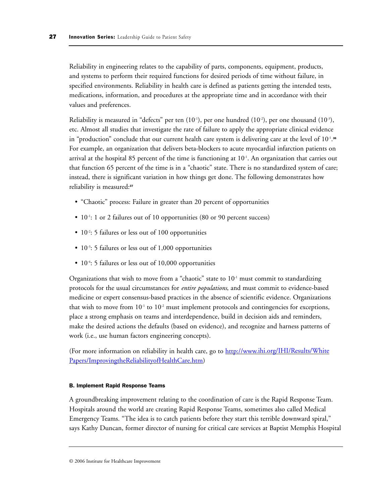Reliability in engineering relates to the capability of parts, components, equipment, products, and systems to perform their required functions for desired periods of time without failure, in specified environments. Reliability in health care is defined as patients getting the intended tests, medications, information, and procedures at the appropriate time and in accordance with their values and preferences.

Reliability is measured in "defects" per ten  $(10^{-1})$ , per one hundred  $(10^{-2})$ , per one thousand  $(10^{-3})$ , etc. Almost all studies that investigate the rate of failure to apply the appropriate clinical evidence in "production" conclude that our current health care system is delivering care at the level of  $10^{-1}.$ <sup>36</sup> For example, an organization that delivers beta-blockers to acute myocardial infarction patients on arrival at the hospital 85 percent of the time is functioning at  $10^{-1}$ . An organization that carries out that function 65 percent of the time is in a "chaotic" state. There is no standardized system of care; instead, there is significant variation in how things get done. The following demonstrates how reliability is measured:<sup>37</sup>

- "Chaotic" process: Failure in greater than 20 percent of opportunities
- 10<sup>-1</sup>: 1 or 2 failures out of 10 opportunities (80 or 90 percent success)
- $10^{-2}$ : 5 failures or less out of 100 opportunities
- $10^{-3}$ : 5 failures or less out of 1,000 opportunities
- 10<sup>-4</sup>: 5 failures or less out of 10,000 opportunities

Organizations that wish to move from a "chaotic" state to  $10<sup>-1</sup>$  must commit to standardizing protocols for the usual circumstances for *entire populations*, and must commit to evidence-based medicine or expert consensus-based practices in the absence of scientific evidence. Organizations that wish to move from  $10^{-1}$  to  $10^{-2}$  must implement protocols and contingencies for exceptions, place a strong emphasis on teams and interdependence, build in decision aids and reminders, make the desired actions the defaults (based on evidence), and recognize and harness patterns of work (i.e., use human factors engineering concepts).

(For more information on reliability in health care, go to [http://www.ihi.org/IHI/Results/White](http://www.ihi.org/IHI/Results/WhitePapers/ImprovingtheReliabilityofHealthCare.htm) [Papers/ImprovingtheReliabilityofHealthCare.htm\)](http://www.ihi.org/IHI/Results/WhitePapers/ImprovingtheReliabilityofHealthCare.htm)

#### B. Implement Rapid Response Teams

A groundbreaking improvement relating to the coordination of care is the Rapid Response Team. Hospitals around the world are creating Rapid Response Teams, sometimes also called Medical Emergency Teams. "The idea is to catch patients before they start this terrible downward spiral," says Kathy Duncan, former director of nursing for critical care services at Baptist Memphis Hospital

<sup>© 2006</sup> Institute for Healthcare Improvement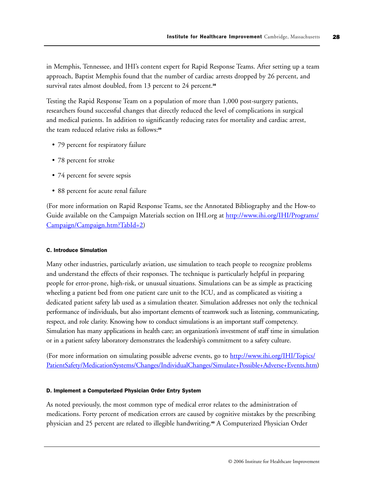in Memphis, Tennessee, and IHI's content expert for Rapid Response Teams. After setting up a team approach, Baptist Memphis found that the number of cardiac arrests dropped by 26 percent, and survival rates almost doubled, from 13 percent to 24 percent.<sup>38</sup>

Testing the Rapid Response Team on a population of more than 1,000 post-surgery patients, researchers found successful changes that directly reduced the level of complications in surgical and medical patients. In addition to significantly reducing rates for mortality and cardiac arrest, the team reduced relative risks as follows:<sup>39</sup>

- 79 percent for respiratory failure
- 78 percent for stroke
- 74 percent for severe sepsis
- 88 percent for acute renal failure

(For more information on Rapid Response Teams, see the Annotated Bibliography and the How-to Guide available on the Campaign Materials section on IHI.org a[t http://www.ihi.org/IHI/Programs/](http://www.ihi.org/IHI/Programs/Campaign/Campaign.htm?TabId=2) [Campaign/Campaign.htm?TabId=2\)](http://www.ihi.org/IHI/Programs/Campaign/Campaign.htm?TabId=2)

## C. Introduce Simulation

Many other industries, particularly aviation, use simulation to teach people to recognize problems and understand the effects of their responses. The technique is particularly helpful in preparing people for error-prone, high-risk, or unusual situations. Simulations can be as simple as practicing wheeling a patient bed from one patient care unit to the ICU, and as complicated as visiting a dedicated patient safety lab used as a simulation theater. Simulation addresses not only the technical performance of individuals, but also important elements of teamwork such as listening, communicating, respect, and role clarity. Knowing how to conduct simulations is an important staff competency. Simulation has many applications in health care; an organization's investment of staff time in simulation or in a patient safety laboratory demonstrates the leadership's commitment to a safety culture.

(For more information on simulating possible adverse events, go t[o http://www.ihi.org/IHI/Topics/](http://www.ihi.org/IHI/Topics/PatientSafety/MedicationSystems/Changes/IndividualChanges/Simulate+Possible+Adverse+Events.htm) [PatientSafety/MedicationSystems/Changes/IndividualChanges/Simulate+Possible+Adverse+Events.htm\)](http://www.ihi.org/IHI/Topics/PatientSafety/MedicationSystems/Changes/IndividualChanges/Simulate+Possible+Adverse+Events.htm)

## D. Implement a Computerized Physician Order Entry System

As noted previously, the most common type of medical error relates to the administration of medications. Forty percent of medication errors are caused by cognitive mistakes by the prescribing physician and 25 percent are related to illegible handwriting.<sup>40</sup> A Computerized Physician Order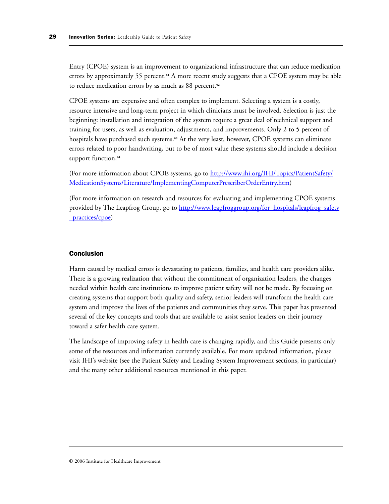Entry (CPOE) system is an improvement to organizational infrastructure that can reduce medication errors by approximately 55 percent.<sup>44</sup> A more recent study suggests that a CPOE system may be able to reduce medication errors by as much as 88 percent.<sup>42</sup>

CPOE systems are expensive and often complex to implement. Selecting a system is a costly, resource intensive and long-term project in which clinicians must be involved. Selection is just the beginning: installation and integration of the system require a great deal of technical support and training for users, as well as evaluation, adjustments, and improvements. Only 2 to 5 percent of hospitals have purchased such systems.<sup>43</sup> At the very least, however, CPOE systems can eliminate errors related to poor handwriting, but to be of most value these systems should include a decision support function.<sup>44</sup>

(For more information about CPOE systems, go t[o http://www.ihi.org/IHI/Topics/PatientSafety/](http://www.ihi.org/IHI/Topics/PatientSafety/MedicationSystems/Literature/ImplementingComputerPrescriberOrderEntry.htm) [MedicationSystems/Literature/ImplementingComputerPrescriberOrderEntry.htm\)](http://www.ihi.org/IHI/Topics/PatientSafety/MedicationSystems/Literature/ImplementingComputerPrescriberOrderEntry.htm)

(For more information on research and resources for evaluating and implementing CPOE systems provided by The Leapfrog Group, go to [http://www.leapfroggroup.org/for\\_hospitals/leapfrog\\_safety](http://www.leapfroggroup.org/for_hospitals/leapfrog_safety_practices/cpoe) [\\_practices/cpoe\)](http://www.leapfroggroup.org/for_hospitals/leapfrog_safety_practices/cpoe)

# Conclusion

Harm caused by medical errors is devastating to patients, families, and health care providers alike. There is a growing realization that without the commitment of organization leaders, the changes needed within health care institutions to improve patient safety will not be made. By focusing on creating systems that support both quality and safety, senior leaders will transform the health care system and improve the lives of the patients and communities they serve. This paper has presented several of the key concepts and tools that are available to assist senior leaders on their journey toward a safer health care system.

The landscape of improving safety in health care is changing rapidly, and this Guide presents only some of the resources and information currently available. For more updated information, please visit IHI's website (see the Patient Safety and Leading System Improvement sections, in particular) and the many other additional resources mentioned in this paper.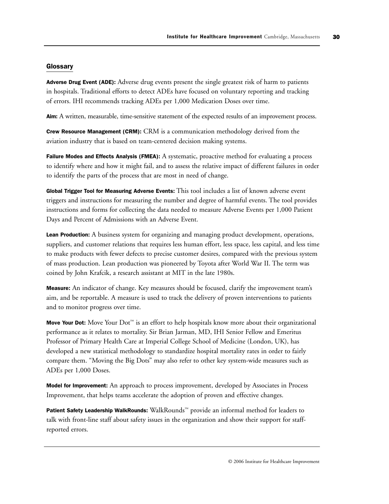## **Glossary**

Adverse Drug Event (ADE): Adverse drug events present the single greatest risk of harm to patients in hospitals. Traditional efforts to detect ADEs have focused on voluntary reporting and tracking of errors. IHI recommends tracking ADEs per 1,000 Medication Doses over time.

Aim: A written, measurable, time-sensitive statement of the expected results of an improvement process.

Crew Resource Management (CRM): CRM is a communication methodology derived from the aviation industry that is based on team-centered decision making systems.

Failure Modes and Effects Analysis (FMEA): A systematic, proactive method for evaluating a process to identify where and how it might fail, and to assess the relative impact of different failures in order to identify the parts of the process that are most in need of change.

Global Trigger Tool for Measuring Adverse Events: This tool includes a list of known adverse event triggers and instructions for measuring the number and degree of harmful events. The tool provides instructions and forms for collecting the data needed to measure Adverse Events per 1,000 Patient Days and Percent of Admissions with an Adverse Event.

Lean Production: A business system for organizing and managing product development, operations, suppliers, and customer relations that requires less human effort, less space, less capital, and less time to make products with fewer defects to precise customer desires, compared with the previous system of mass production. Lean production was pioneered by Toyota after World War II. The term was coined by John Krafcik, a research assistant at MIT in the late 1980s.

Measure: An indicator of change. Key measures should be focused, clarify the improvement team's aim, and be reportable. A measure is used to track the delivery of proven interventions to patients and to monitor progress over time.

Move Your Dot: Move Your  $Dot$  is an effort to help hospitals know more about their organizational performance as it relates to mortality. Sir Brian Jarman, MD, IHI Senior Fellow and Emeritus Professor of Primary Health Care at Imperial College School of Medicine (London, UK), has developed a new statistical methodology to standardize hospital mortality rates in order to fairly compare them. "Moving the Big Dots" may also refer to other key system-wide measures such as ADEs per 1,000 Doses.

Model for Improvement: An approach to process improvement, developed by Associates in Process Improvement, that helps teams accelerate the adoption of proven and effective changes.

Patient Safety Leadership WalkRounds: WalkRounds™ provide an informal method for leaders to talk with front-line staff about safety issues in the organization and show their support for staffreported errors.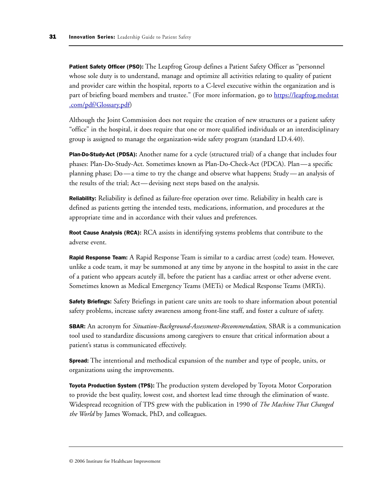**Patient Safety Officer (PSO):** The Leapfrog Group defines a Patient Safety Officer as "personnel whose sole duty is to understand, manage and optimize all activities relating to quality of patient and provider care within the hospital, reports to a C-level executive within the organization and is part of briefing board members and trustee." (For more information, go to [https://leapfrog.medstat](https://leapfrog.medstat.com/pdf/Glossary.pdf) [.com/pdf/Glossary.pdf\)](https://leapfrog.medstat.com/pdf/Glossary.pdf)

Although the Joint Commission does not require the creation of new structures or a patient safety "office" in the hospital, it does require that one or more qualified individuals or an interdisciplinary group is assigned to manage the organization-wide safety program (standard LD.4.40).

Plan-Do-Study-Act (PDSA): Another name for a cycle (structured trial) of a change that includes four phases: Plan-Do-Study-Act. Sometimes known as Plan-Do-Check-Act (PDCA). Plan—a specific planning phase; Do —a time to try the change and observe what happens; Study — an analysis of the results of the trial; Act— devising next steps based on the analysis.

Reliability: Reliability is defined as failure-free operation over time. Reliability in health care is defined as patients getting the intended tests, medications, information, and procedures at the appropriate time and in accordance with their values and preferences.

Root Cause Analysis (RCA): RCA assists in identifying systems problems that contribute to the adverse event.

Rapid Response Team: A Rapid Response Team is similar to a cardiac arrest (code) team. However, unlike a code team, it may be summoned at any time by anyone in the hospital to assist in the care of a patient who appears acutely ill, before the patient has a cardiac arrest or other adverse event. Sometimes known as Medical Emergency Teams (METs) or Medical Response Teams (MRTs).

Safety Briefings: Safety Briefings in patient care units are tools to share information about potential safety problems, increase safety awareness among front-line staff, and foster a culture of safety.

SBAR: An acronym for *Situation-Background-Assessment-Recommendation*, SBAR is a communication tool used to standardize discussions among caregivers to ensure that critical information about a patient's status is communicated effectively.

Spread: The intentional and methodical expansion of the number and type of people, units, or organizations using the improvements.

Toyota Production System (TPS): The production system developed by Toyota Motor Corporation to provide the best quality, lowest cost, and shortest lead time through the elimination of waste. Widespread recognition of TPS grew with the publication in 1990 of *The Machine That Changed the World* by James Womack, PhD, and colleagues.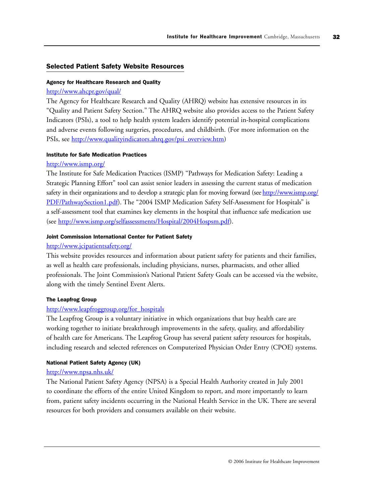## Selected Patient Safety Website Resources

#### Agency for Healthcare Research and Quality

# <http://www.ahcpr.gov/qual/>

The Agency for Healthcare Research and Quality (AHRQ) website has extensive resources in its "Quality and Patient Safety Section." The AHRQ website also provides access to the Patient Safety Indicators (PSIs), a tool to help health system leaders identify potential in-hospital complications and adverse events following surgeries, procedures, and childbirth. (For more information on the PSIs, see [http://www.qualityindicators.ahrq.gov/psi\\_overview.htm\)](http://www.qualityindicators.ahrq.gov/psi_overview.htm)

## Institute for Safe Medication Practices

# <http://www.ismp.org/>

The Institute for Safe Medication Practices (ISMP) "Pathways for Medication Safety: Leading a Strategic Planning Effort" tool can assist senior leaders in assessing the current status of medication safety in their organizations and to develop a strategic plan for moving forward (see [http://www.ismp.org/](http://www.ismp.org/PDF/PathwaySection1.pdf) [PDF/PathwaySection1.pdf\)](http://www.ismp.org/PDF/PathwaySection1.pdf). The "2004 ISMP Medication Safety Self-Assessment for Hospitals" is a self-assessment tool that examines key elements in the hospital that influence safe medication use (see [http://www.ismp.org/selfassessments/Hospital/2004Hospsm.pdf\).](http://www.ismp.org/selfassessments/Hospital/2004Hospsm.pdf)

#### Joint Commission International Center for Patient Safety

#### <http://www.jcipatientsafety.org/>

This website provides resources and information about patient safety for patients and their families, as well as health care professionals, including physicians, nurses, pharmacists, and other allied professionals. The Joint Commission's National Patient Safety Goals can be accessed via the website, along with the timely Sentinel Event Alerts.

#### The Leapfrog Group

# [http://www.leapfroggroup.org/for\\_hospitals](http://www.leapfroggroup.org/for_hospitals)

The Leapfrog Group is a voluntary initiative in which organizations that buy health care are working together to initiate breakthrough improvements in the safety, quality, and affordability of health care for Americans. The Leapfrog Group has several patient safety resources for hospitals, including research and selected references on Computerized Physician Order Entry (CPOE) systems.

## National Patient Safety Agency (UK)

#### <http://www.npsa.nhs.uk/>

The National Patient Safety Agency (NPSA) is a Special Health Authority created in July 2001 to coordinate the efforts of the entire United Kingdom to report, and more importantly to learn from, patient safety incidents occurring in the National Health Service in the UK. There are several resources for both providers and consumers available on their website.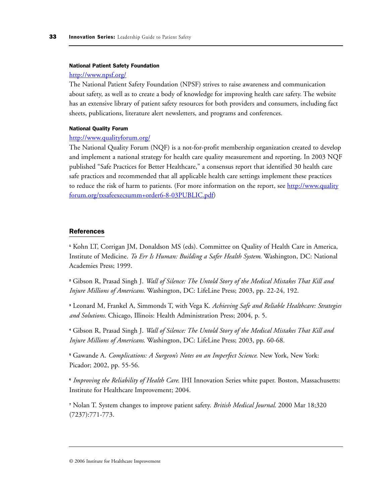#### National Patient Safety Foundation

#### <http://www.npsf.org/>

The National Patient Safety Foundation (NPSF) strives to raise awareness and communication about safety, as well as to create a body of knowledge for improving health care safety. The website has an extensive library of patient safety resources for both providers and consumers, including fact sheets, publications, literature alert newsletters, and programs and conferences.

#### National Quality Forum

#### <http://www.qualityforum.org/>

The National Quality Forum (NQF) is a not-for-profit membership organization created to develop and implement a national strategy for health care quality measurement and reporting. In 2003 NQF published "Safe Practices for Better Healthcare," a consensus report that identified 30 health care safe practices and recommended that all applicable health care settings implement these practices to reduce the risk of harm to patients. (For more information on the report, se[e http://www.quality](http://www.qualityforum.org/txsafeexecsumm+order6-8-03PUBLIC.pdf) [forum.org/txsafeexecsumm+order6-8-03PUBLIC.pdf\)](http://www.qualityforum.org/txsafeexecsumm+order6-8-03PUBLIC.pdf)

## References

<sup>1</sup> Kohn LT, Corrigan JM, Donaldson MS (eds). Committee on Quality of Health Care in America, Institute of Medicine. *To Err Is Human: Building a Safer Health System*. Washington, DC: National Academies Press; 1999.

<sup>2</sup> Gibson R, Prasad Singh J. *Wall of Silence: The Untold Story of the Medical Mistakes That Kill and Injure Millions of Americans*. Washington, DC: LifeLine Press; 2003, pp. 22-24, 192.

<sup>3</sup> Leonard M, Frankel A, Simmonds T, with Vega K. *Achieving Safe and Reliable Healthcare: Strategies and Solutions*. Chicago, Illinois: Health Administration Press; 2004, p. 5.

<sup>4</sup> Gibson R, Prasad Singh J. *Wall of Silence: The Untold Story of the Medical Mistakes That Kill and Injure Millions of Americans*. Washington, DC: LifeLine Press; 2003, pp. 60-68.

<sup>5</sup> Gawande A. *Complications: A Surgeon's Notes on an Imperfect Science*. New York, New York: Picador; 2002, pp. 55-56.

<sup>6</sup> *Improving the Reliability of Health Care*. IHI Innovation Series white paper. Boston, Massachusetts: Institute for Healthcare Improvement; 2004.

<sup>7</sup> Nolan T. System changes to improve patient safety. *British Medical Journal*. 2000 Mar 18;320 (7237):771-773.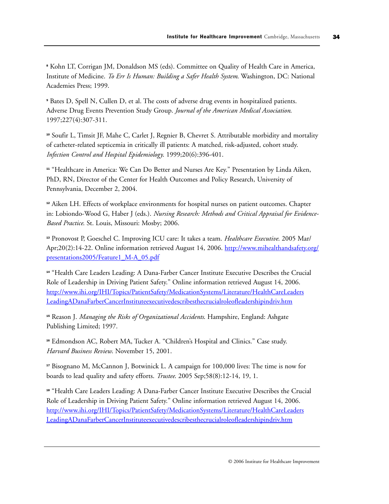<sup>8</sup> Kohn LT, Corrigan JM, Donaldson MS (eds). Committee on Quality of Health Care in America, Institute of Medicine. *To Err Is Human: Building a Safer Health System*. Washington, DC: National Academies Press; 1999.

<sup>9</sup> Bates D, Spell N, Cullen D, et al. The costs of adverse drug events in hospitalized patients. Adverse Drug Events Prevention Study Group. *Journal of the American Medical Association*. 1997;227(4):307-311.

<sup>10</sup> Soufir L, Timsit JF, Mahe C, Carlet J, Regnier B, Chevret S. Attributable morbidity and mortality of catheter-related septicemia in critically ill patients: A matched, risk-adjusted, cohort study. *Infection Control and Hospital Epidemiology*. 1999;20(6):396-401.

<sup>11</sup> "Healthcare in America: We Can Do Better and Nurses Are Key." Presentation by Linda Aiken, PhD, RN, Director of the Center for Health Outcomes and Policy Research, University of Pennsylvania, December 2, 2004.

<sup>12</sup> Aiken LH. Effects of workplace environments for hospital nurses on patient outcomes. Chapter in: Lobiondo-Wood G, Haber J (eds.). *Nursing Research: Methods and Critical Appraisal for Evidence-Based Practice*. St. Louis, Missouri: Mosby; 2006.

<sup>13</sup> Pronovost P, Goeschel C. Improving ICU care: It takes a team. *Healthcare Executive*. 2005 Mar/ Apr;20(2):14-22. Online information retrieved August 14, 2006. [http://www.mihealthandsafety.org/](http://www.mihealthandsafety.org/presentations2005/Feature1_M-A_05.pdf) [presentations2005/Feature1\\_M-A\\_05.pdf](http://www.mihealthandsafety.org/presentations2005/Feature1_M-A_05.pdf)

<sup>14</sup> "Health Care Leaders Leading: A Dana-Farber Cancer Institute Executive Describes the Crucial Role of Leadership in Driving Patient Safety." Online information retrieved August 14, 2006. [http://www.ihi.org/IHI/Topics/PatientSafety/MedicationSystems/Literature/HealthCareLeaders](http://www.ihi.org/IHI/Topics/PatientSafety/MedicationSystems/Literature/HealthCareLeadersLeadingADanaFarberCancerInstituteexecutivedescribesthecrucialroleofleadershipindriv.htm) [LeadingADanaFarberCancerInstituteexecutivedescribesthecrucialroleofleadershipindriv.htm](http://www.ihi.org/IHI/Topics/PatientSafety/MedicationSystems/Literature/HealthCareLeadersLeadingADanaFarberCancerInstituteexecutivedescribesthecrucialroleofleadershipindriv.htm)

<sup>15</sup> Reason J. *Managing the Risks of Organizational Accidents*. Hampshire, England: Ashgate Publishing Limited; 1997.

<sup>16</sup> Edmondson AC, Robert MA, Tucker A. "Children's Hospital and Clinics." Case study. *Harvard Business Review*. November 15, 2001.

<sup>17</sup> Bisognano M, McCannon J, Botwinick L. A campaign for 100,000 lives: The time is now for boards to lead quality and safety efforts. *Trustee*. 2005 Sep;58(8):12-14, 19, 1.

<sup>18</sup> "Health Care Leaders Leading: A Dana-Farber Cancer Institute Executive Describes the Crucial Role of Leadership in Driving Patient Safety." Online information retrieved August 14, 2006. [http://www.ihi.org/IHI/Topics/PatientSafety/MedicationSystems/Literature/HealthCareLeaders](http://www.ihi.org/IHI/Topics/PatientSafety/MedicationSystems/Literature/HealthCareLeadersLeadingADanaFarberCancerInstituteexecutivedescribesthecrucialroleofleadershipindriv.htm) [LeadingADanaFarberCancerInstituteexecutivedescribesthecrucialroleofleadershipindriv.htm](http://www.ihi.org/IHI/Topics/PatientSafety/MedicationSystems/Literature/HealthCareLeadersLeadingADanaFarberCancerInstituteexecutivedescribesthecrucialroleofleadershipindriv.htm)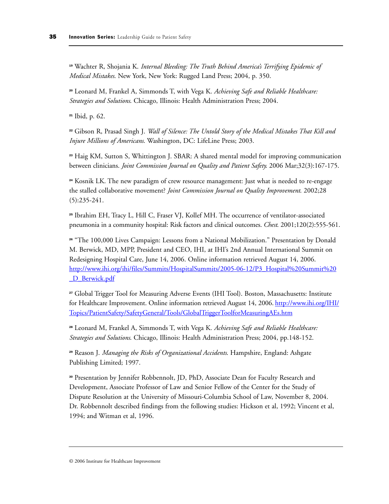<sup>19</sup> Wachter R, Shojania K. *Internal Bleeding: The Truth Behind America's Terrifying Epidemic of Medical Mistakes*. New York, New York: Rugged Land Press; 2004, p. 350.

<sup>20</sup> Leonard M, Frankel A, Simmonds T, with Vega K. *Achieving Safe and Reliable Healthcare: Strategies and Solutions*. Chicago, Illinois: Health Administration Press; 2004.

<sup>21</sup> Ibid, p. 62.

<sup>22</sup> Gibson R, Prasad Singh J. *Wall of Silence: The Untold Story of the Medical Mistakes That Kill and Injure Millions of Americans*. Washington, DC: LifeLine Press; 2003.

<sup>23</sup> Haig KM, Sutton S, Whittington J. SBAR: A shared mental model for improving communication between clinicians. *Joint Commission Journal on Quality and Patient Safety*. 2006 Mar;32(3):167-175.

<sup>24</sup> Kosnik LK. The new paradigm of crew resource management: Just what is needed to re-engage the stalled collaborative movement? *Joint Commission Journal on Quality Improvement*. 2002;28 (5):235-241.

<sup>25</sup> Ibrahim EH, Tracy L, Hill C, Fraser VJ, Kollef MH. The occurrence of ventilator-associated pneumonia in a community hospital: Risk factors and clinical outcomes. *Chest*. 2001;120(2):555-561.

<sup>26</sup> "The 100,000 Lives Campaign: Lessons from a National Mobilization." Presentation by Donald M. Berwick, MD, MPP, President and CEO, IHI, at IHI's 2nd Annual International Summit on Redesigning Hospital Care, June 14, 2006. Online information retrieved August 14, 2006. [http://www.ihi.org/ihi/files/Summits/HospitalSummits/2005-06-12/P3\\_Hospital%20Summit%20](http://www.ihi.org/IHI/files/Summits/HospitalSummits/2005-06-12/P3_Hospital%20Summit%20_D_Berwick.pdf) D\_Berwick.pdf

<sup>27</sup> Global Trigger Tool for Measuring Adverse Events (IHI Tool). Boston, Massachusetts: Institute for Healthcare Improvement. Online information retrieved August 14, 2006[. http://www.ihi.org/IHI/](http://www.ihi.org/IHI/Topics/PatientSafety/SafetyGeneral/Tools/GlobalTriggerToolforMeasuringAEs.htm) [Topics/PatientSafety/SafetyGeneral/Tools/GlobalTriggerToolforMeasuringAEs.htm](http://www.ihi.org/IHI/Topics/PatientSafety/SafetyGeneral/Tools/GlobalTriggerToolforMeasuringAEs.htm)

<sup>28</sup> Leonard M, Frankel A, Simmonds T, with Vega K. *Achieving Safe and Reliable Healthcare: Strategies and Solutions*. Chicago, Illinois: Health Administration Press; 2004, pp.148-152.

<sup>29</sup> Reason J. *Managing the Risks of Organizational Accidents*. Hampshire, England: Ashgate Publishing Limited; 1997.

<sup>30</sup> Presentation by Jennifer Robbennolt, JD, PhD, Associate Dean for Faculty Research and Development, Associate Professor of Law and Senior Fellow of the Center for the Study of Dispute Resolution at the University of Missouri-Columbia School of Law, November 8, 2004. Dr. Robbennolt described findings from the following studies: Hickson et al, 1992; Vincent et al, 1994; and Witman et al, 1996.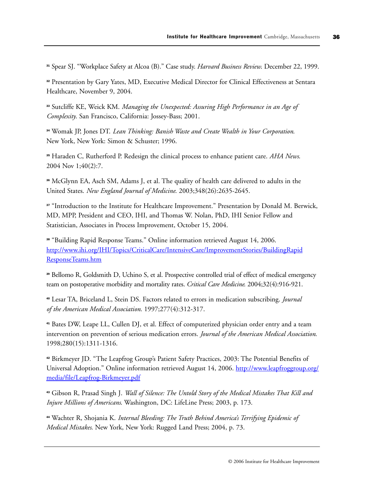<sup>31</sup> Spear SJ. "Workplace Safety at Alcoa (B)." Case study. *Harvard Business Review*. December 22, 1999.

<sup>32</sup> Presentation by Gary Yates, MD, Executive Medical Director for Clinical Effectiveness at Sentara Healthcare, November 9, 2004.

<sup>33</sup> Sutcliffe KE, Weick KM. *Managing the Unexpected: Assuring High Performance in an Age of Complexity*. San Francisco, California: Jossey-Bass; 2001.

<sup>34</sup> Womak JP, Jones DT. *Lean Thinking: Banish Waste and Create Wealth in Your Corporation*. New York, New York: Simon & Schuster; 1996.

<sup>35</sup> Haraden C, Rutherford P. Redesign the clinical process to enhance patient care. *AHA News*. 2004 Nov 1;40(2):7.

<sup>36</sup> McGlynn EA, Asch SM, Adams J, et al. The quality of health care delivered to adults in the United States. *New England Journal of Medicine*. 2003;348(26):2635-2645.

<sup>37</sup> "Introduction to the Institute for Healthcare Improvement." Presentation by Donald M. Berwick, MD, MPP, President and CEO, IHI, and Thomas W. Nolan, PhD, IHI Senior Fellow and Statistician, Associates in Process Improvement, October 15, 2004.

<sup>38</sup> "Building Rapid Response Teams." Online information retrieved August 14, 2006. [http://www.ihi.org/IHI/Topics/CriticalCare/IntensiveCare/ImprovementStories/BuildingRapid](http://www.ihi.org/IHI/Topics/CriticalCare/IntensiveCare/ImprovementStories/BuildingRapidResponseTeams.htm) [ResponseTeams.htm](http://www.ihi.org/IHI/Topics/CriticalCare/IntensiveCare/ImprovementStories/BuildingRapidResponseTeams.htm)

<sup>39</sup> Bellomo R, Goldsmith D, Uchino S, et al. Prospective controlled trial of effect of medical emergency team on postoperative morbidity and mortality rates. *Critical Care Medicine*. 2004;32(4):916-921.

<sup>40</sup> Lesar TA, Briceland L, Stein DS. Factors related to errors in medication subscribing. *Journal of the American Medical Association*. 1997;277(4):312-317.

<sup>41</sup> Bates DW, Leape LL, Cullen DJ, et al. Effect of computerized physician order entry and a team intervention on prevention of serious medication errors. *Journal of the American Medical Association*. 1998;280(15):1311-1316.

<sup>42</sup> Birkmeyer JD. "The Leapfrog Group's Patient Safety Practices, 2003: The Potential Benefits of Universal Adoption." Online information retrieved August 14, 2006[. http://www.leapfroggroup.org/](http://www.leapfroggroup.org/media/file/Leapfrog-Birkmeyer.pdf) [media/file/Leapfrog-Birkmeyer.pdf](http://www.leapfroggroup.org/media/file/Leapfrog-Birkmeyer.pdf)

<sup>43</sup> Gibson R, Prasad Singh J. *Wall of Silence: The Untold Story of the Medical Mistakes That Kill and Injure Millions of Americans*. Washington, DC: LifeLine Press; 2003, p. 173.

<sup>44</sup> Wachter R, Shojania K. *Internal Bleeding: The Truth Behind America's Terrifying Epidemic of Medical Mistakes*. New York, New York: Rugged Land Press; 2004, p. 73.